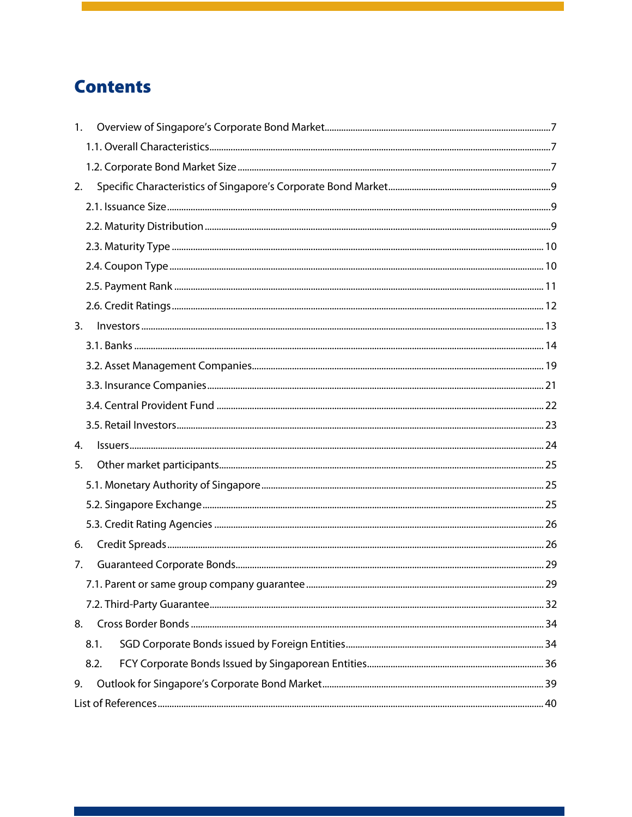# **Contents**

| $1_{\cdot}$ |  |
|-------------|--|
|             |  |
|             |  |
| 2.          |  |
|             |  |
|             |  |
|             |  |
|             |  |
|             |  |
|             |  |
| 3.          |  |
|             |  |
|             |  |
|             |  |
|             |  |
|             |  |
| 4.          |  |
| 5.          |  |
|             |  |
|             |  |
|             |  |
| 6.          |  |
| 7.          |  |
|             |  |
|             |  |
| 8.          |  |
| 8.1.        |  |
| 8.2.        |  |
| 9.          |  |
|             |  |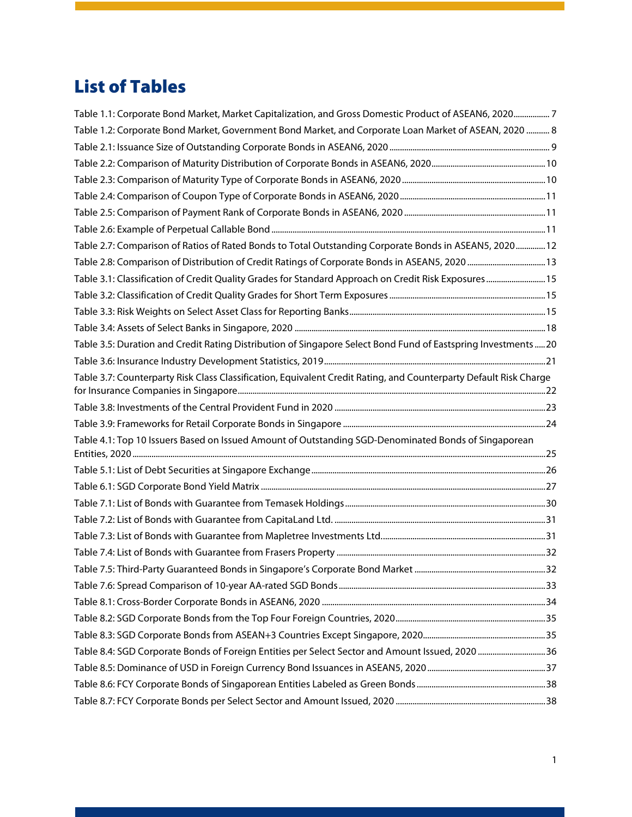# List of Tables

| Table 1.1: Corporate Bond Market, Market Capitalization, and Gross Domestic Product of ASEAN6, 20207              |  |
|-------------------------------------------------------------------------------------------------------------------|--|
| Table 1.2: Corporate Bond Market, Government Bond Market, and Corporate Loan Market of ASEAN, 2020  8             |  |
|                                                                                                                   |  |
|                                                                                                                   |  |
|                                                                                                                   |  |
|                                                                                                                   |  |
|                                                                                                                   |  |
|                                                                                                                   |  |
| Table 2.7: Comparison of Ratios of Rated Bonds to Total Outstanding Corporate Bonds in ASEAN5, 2020 12            |  |
|                                                                                                                   |  |
| Table 3.1: Classification of Credit Quality Grades for Standard Approach on Credit Risk Exposures 15              |  |
|                                                                                                                   |  |
|                                                                                                                   |  |
|                                                                                                                   |  |
| Table 3.5: Duration and Credit Rating Distribution of Singapore Select Bond Fund of Eastspring Investments20      |  |
|                                                                                                                   |  |
| Table 3.7: Counterparty Risk Class Classification, Equivalent Credit Rating, and Counterparty Default Risk Charge |  |
|                                                                                                                   |  |
|                                                                                                                   |  |
| Table 4.1: Top 10 Issuers Based on Issued Amount of Outstanding SGD-Denominated Bonds of Singaporean              |  |
|                                                                                                                   |  |
|                                                                                                                   |  |
|                                                                                                                   |  |
|                                                                                                                   |  |
|                                                                                                                   |  |
|                                                                                                                   |  |
|                                                                                                                   |  |
|                                                                                                                   |  |
|                                                                                                                   |  |
|                                                                                                                   |  |
|                                                                                                                   |  |
| Table 8.4: SGD Corporate Bonds of Foreign Entities per Select Sector and Amount Issued, 2020 36                   |  |
|                                                                                                                   |  |
|                                                                                                                   |  |
|                                                                                                                   |  |
|                                                                                                                   |  |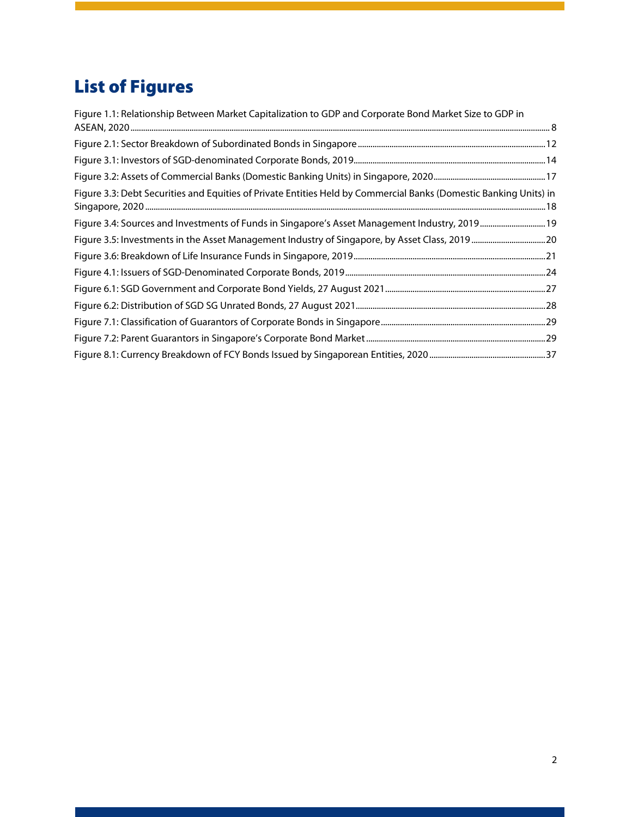# List of Figures

| Figure 1.1: Relationship Between Market Capitalization to GDP and Corporate Bond Market Size to GDP in            |  |
|-------------------------------------------------------------------------------------------------------------------|--|
|                                                                                                                   |  |
|                                                                                                                   |  |
|                                                                                                                   |  |
|                                                                                                                   |  |
| Figure 3.3: Debt Securities and Equities of Private Entities Held by Commercial Banks (Domestic Banking Units) in |  |
| Figure 3.4: Sources and Investments of Funds in Singapore's Asset Management Industry, 2019 19                    |  |
| Figure 3.5: Investments in the Asset Management Industry of Singapore, by Asset Class, 2019  20                   |  |
|                                                                                                                   |  |
|                                                                                                                   |  |
|                                                                                                                   |  |
|                                                                                                                   |  |
|                                                                                                                   |  |
|                                                                                                                   |  |
|                                                                                                                   |  |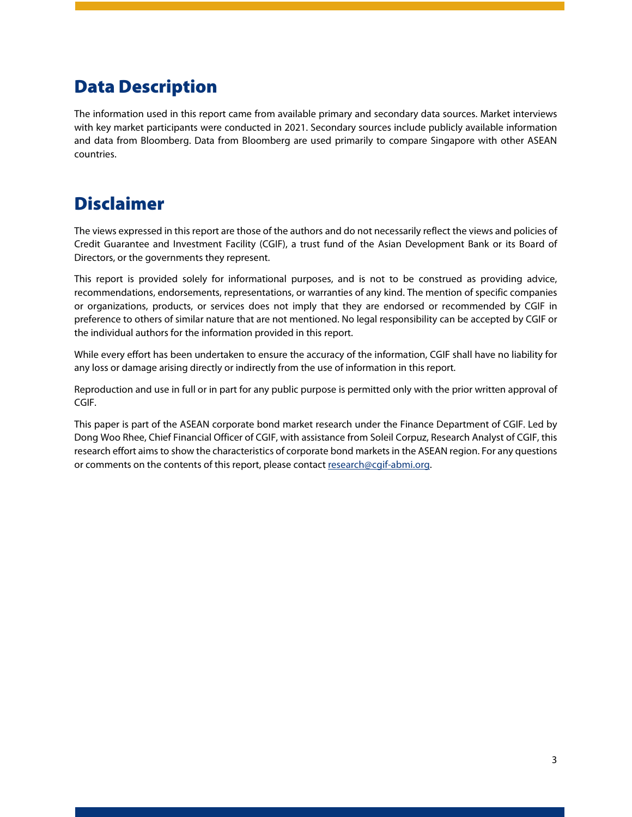# Data Description

The information used in this report came from available primary and secondary data sources. Market interviews with key market participants were conducted in 2021. Secondary sources include publicly available information and data from Bloomberg. Data from Bloomberg are used primarily to compare Singapore with other ASEAN countries.

# Disclaimer

The views expressed in this report are those of the authors and do not necessarily reflect the views and policies of Credit Guarantee and Investment Facility (CGIF), a trust fund of the Asian Development Bank or its Board of Directors, or the governments they represent.

This report is provided solely for informational purposes, and is not to be construed as providing advice, recommendations, endorsements, representations, or warranties of any kind. The mention of specific companies or organizations, products, or services does not imply that they are endorsed or recommended by CGIF in preference to others of similar nature that are not mentioned. No legal responsibility can be accepted by CGIF or the individual authors for the information provided in this report.

While every effort has been undertaken to ensure the accuracy of the information, CGIF shall have no liability for any loss or damage arising directly or indirectly from the use of information in this report.

Reproduction and use in full or in part for any public purpose is permitted only with the prior written approval of CGIF.

This paper is part of the ASEAN corporate bond market research under the Finance Department of CGIF. Led by Dong Woo Rhee, Chief Financial Officer of CGIF, with assistance from Soleil Corpuz, Research Analyst of CGIF, this research effort aims to show the characteristics of corporate bond markets in the ASEAN region. For any questions or comments on the contents of this report, please contact [research@cgif-abmi.org.](mailto:research@cgif-abmi.org)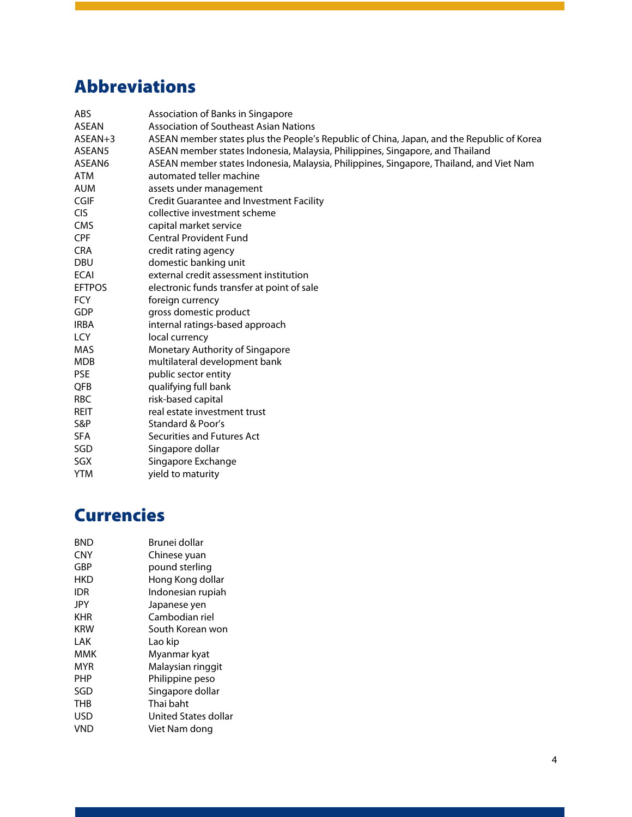# Abbreviations

| <b>ABS</b>     | Association of Banks in Singapore                                                         |
|----------------|-------------------------------------------------------------------------------------------|
| <b>ASEAN</b>   | <b>Association of Southeast Asian Nations</b>                                             |
| $ASEAN+3$      | ASEAN member states plus the People's Republic of China, Japan, and the Republic of Korea |
| ASEAN5         | ASEAN member states Indonesia, Malaysia, Philippines, Singapore, and Thailand             |
| ASEAN6         | ASEAN member states Indonesia, Malaysia, Philippines, Singapore, Thailand, and Viet Nam   |
| <b>ATM</b>     | automated teller machine                                                                  |
| <b>AUM</b>     | assets under management                                                                   |
| <b>CGIF</b>    | <b>Credit Guarantee and Investment Facility</b>                                           |
| <b>CIS</b>     | collective investment scheme                                                              |
| <b>CMS</b>     | capital market service                                                                    |
| <b>CPF</b>     | <b>Central Provident Fund</b>                                                             |
| <b>CRA</b>     | credit rating agency                                                                      |
| <b>DBU</b>     | domestic banking unit                                                                     |
| <b>ECAI</b>    | external credit assessment institution                                                    |
| <b>EFTPOS</b>  | electronic funds transfer at point of sale                                                |
| <b>FCY</b>     | foreign currency                                                                          |
| GDP            | gross domestic product                                                                    |
| <b>IRBA</b>    | internal ratings-based approach                                                           |
| <b>LCY</b>     | local currency                                                                            |
| MAS            | Monetary Authority of Singapore                                                           |
| <b>MDB</b>     | multilateral development bank                                                             |
| <b>PSE</b>     | public sector entity                                                                      |
| QFB            | qualifying full bank                                                                      |
| <b>RBC</b>     | risk-based capital                                                                        |
| <b>REIT</b>    | real estate investment trust                                                              |
| <b>S&amp;P</b> | Standard & Poor's                                                                         |
| <b>SFA</b>     | Securities and Futures Act                                                                |
| SGD            | Singapore dollar                                                                          |
| SGX            | Singapore Exchange                                                                        |
| <b>YTM</b>     | yield to maturity                                                                         |

# **Currencies**

| BND        | Brunei dollar        |
|------------|----------------------|
| <b>CNY</b> | Chinese yuan         |
| GBP        | pound sterling       |
| HKD        | Hong Kong dollar     |
| idr        | Indonesian rupiah    |
| JPY        | Japanese yen         |
| KHR        | Cambodian riel       |
| KRW        | South Korean won     |
| I AK       | Lao kip              |
| ммк        | Myanmar kyat         |
| MYR        | Malaysian ringgit    |
| PHP        | Philippine peso      |
| SGD        | Singapore dollar     |
| THB        | Thai baht            |
| USD        | United States dollar |
| VND        | Viet Nam dong        |
|            |                      |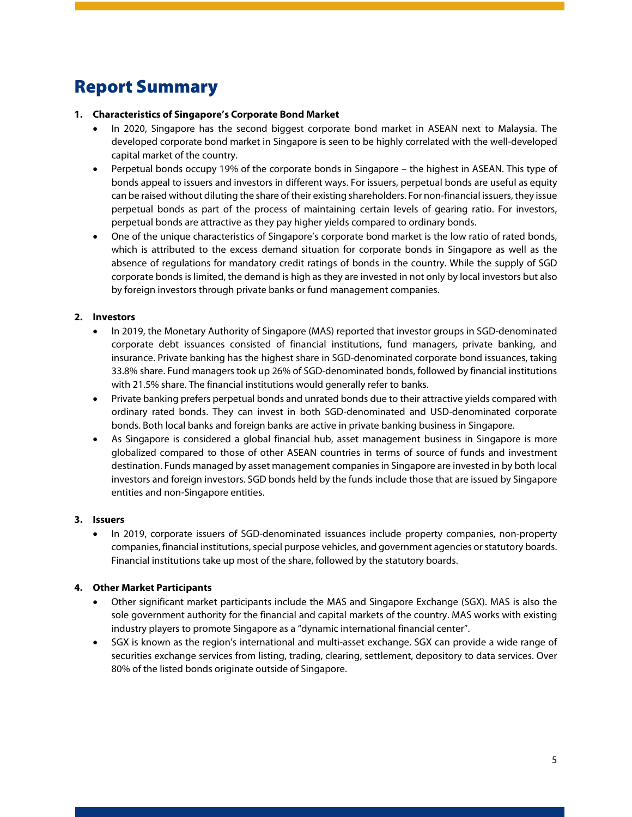# Report Summary

#### **1. Characteristics of Singapore's Corporate Bond Market**

- In 2020, Singapore has the second biggest corporate bond market in ASEAN next to Malaysia. The developed corporate bond market in Singapore is seen to be highly correlated with the well-developed capital market of the country.
- Perpetual bonds occupy 19% of the corporate bonds in Singapore the highest in ASEAN. This type of bonds appeal to issuers and investors in different ways. For issuers, perpetual bonds are useful as equity can be raised without diluting the share of their existing shareholders. For non-financial issuers, they issue perpetual bonds as part of the process of maintaining certain levels of gearing ratio. For investors, perpetual bonds are attractive as they pay higher yields compared to ordinary bonds.
- One of the unique characteristics of Singapore's corporate bond market is the low ratio of rated bonds, which is attributed to the excess demand situation for corporate bonds in Singapore as well as the absence of regulations for mandatory credit ratings of bonds in the country. While the supply of SGD corporate bonds is limited, the demand is high as they are invested in not only by local investors but also by foreign investors through private banks or fund management companies.

#### **2. Investors**

- In 2019, the Monetary Authority of Singapore (MAS) reported that investor groups in SGD-denominated corporate debt issuances consisted of financial institutions, fund managers, private banking, and insurance. Private banking has the highest share in SGD-denominated corporate bond issuances, taking 33.8% share. Fund managers took up 26% of SGD-denominated bonds, followed by financial institutions with 21.5% share. The financial institutions would generally refer to banks.
- Private banking prefers perpetual bonds and unrated bonds due to their attractive yields compared with ordinary rated bonds. They can invest in both SGD-denominated and USD-denominated corporate bonds. Both local banks and foreign banks are active in private banking business in Singapore.
- As Singapore is considered a global financial hub, asset management business in Singapore is more globalized compared to those of other ASEAN countries in terms of source of funds and investment destination. Funds managed by asset management companies in Singapore are invested in by both local investors and foreign investors. SGD bonds held by the funds include those that are issued by Singapore entities and non-Singapore entities.

#### **3. Issuers**

• In 2019, corporate issuers of SGD-denominated issuances include property companies, non-property companies, financial institutions, special purpose vehicles, and government agencies or statutory boards. Financial institutions take up most of the share, followed by the statutory boards.

#### **4. Other Market Participants**

- Other significant market participants include the MAS and Singapore Exchange (SGX). MAS is also the sole government authority for the financial and capital markets of the country. MAS works with existing industry players to promote Singapore as a "dynamic international financial center".
- SGX is known as the region's international and multi-asset exchange. SGX can provide a wide range of securities exchange services from listing, trading, clearing, settlement, depository to data services. Over 80% of the listed bonds originate outside of Singapore.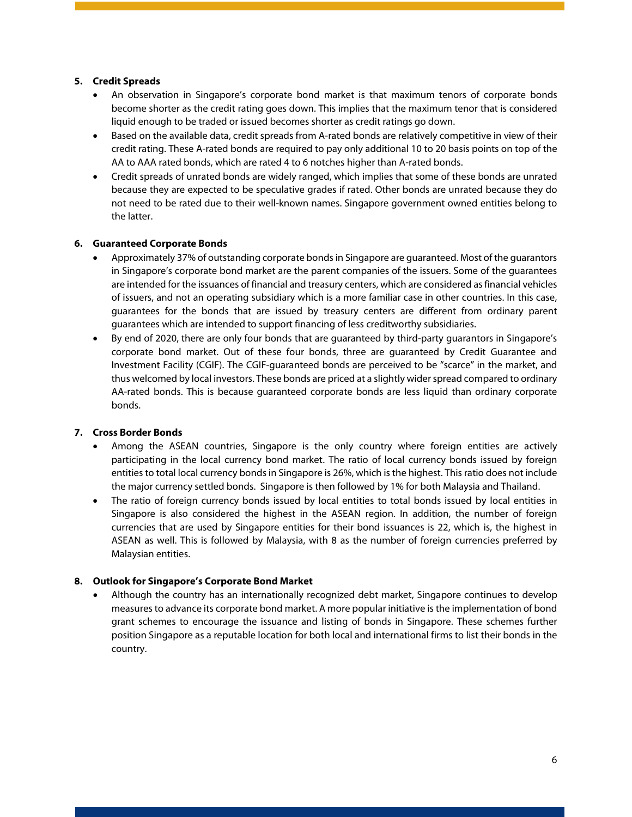#### **5. Credit Spreads**

- An observation in Singapore's corporate bond market is that maximum tenors of corporate bonds become shorter as the credit rating goes down. This implies that the maximum tenor that is considered liquid enough to be traded or issued becomes shorter as credit ratings go down.
- Based on the available data, credit spreads from A-rated bonds are relatively competitive in view of their credit rating. These A-rated bonds are required to pay only additional 10 to 20 basis points on top of the AA to AAA rated bonds, which are rated 4 to 6 notches higher than A-rated bonds.
- Credit spreads of unrated bonds are widely ranged, which implies that some of these bonds are unrated because they are expected to be speculative grades if rated. Other bonds are unrated because they do not need to be rated due to their well-known names. Singapore government owned entities belong to the latter.

#### **6. Guaranteed Corporate Bonds**

- Approximately 37% of outstanding corporate bonds in Singapore are guaranteed. Most of the guarantors in Singapore's corporate bond market are the parent companies of the issuers. Some of the guarantees are intended for the issuances of financial and treasury centers, which are considered asfinancial vehicles of issuers, and not an operating subsidiary which is a more familiar case in other countries. In this case, guarantees for the bonds that are issued by treasury centers are different from ordinary parent guarantees which are intended to support financing of less creditworthy subsidiaries.
- By end of 2020, there are only four bonds that are guaranteed by third-party guarantors in Singapore's corporate bond market. Out of these four bonds, three are guaranteed by Credit Guarantee and Investment Facility (CGIF). The CGIF-guaranteed bonds are perceived to be "scarce" in the market, and thus welcomed by local investors. These bonds are priced at a slightly wider spread compared to ordinary AA-rated bonds. This is because guaranteed corporate bonds are less liquid than ordinary corporate bonds.

#### **7. Cross Border Bonds**

- Among the ASEAN countries, Singapore is the only country where foreign entities are actively participating in the local currency bond market. The ratio of local currency bonds issued by foreign entities to total local currency bonds in Singapore is 26%, which is the highest. This ratio does not include the major currency settled bonds. Singapore is then followed by 1% for both Malaysia and Thailand.
- The ratio of foreign currency bonds issued by local entities to total bonds issued by local entities in Singapore is also considered the highest in the ASEAN region. In addition, the number of foreign currencies that are used by Singapore entities for their bond issuances is 22, which is, the highest in ASEAN as well. This is followed by Malaysia, with 8 as the number of foreign currencies preferred by Malaysian entities.

#### **8. Outlook for Singapore's Corporate Bond Market**

• Although the country has an internationally recognized debt market, Singapore continues to develop measures to advance its corporate bond market. A more popular initiative is the implementation of bond grant schemes to encourage the issuance and listing of bonds in Singapore. These schemes further position Singapore as a reputable location for both local and international firms to list their bonds in the country.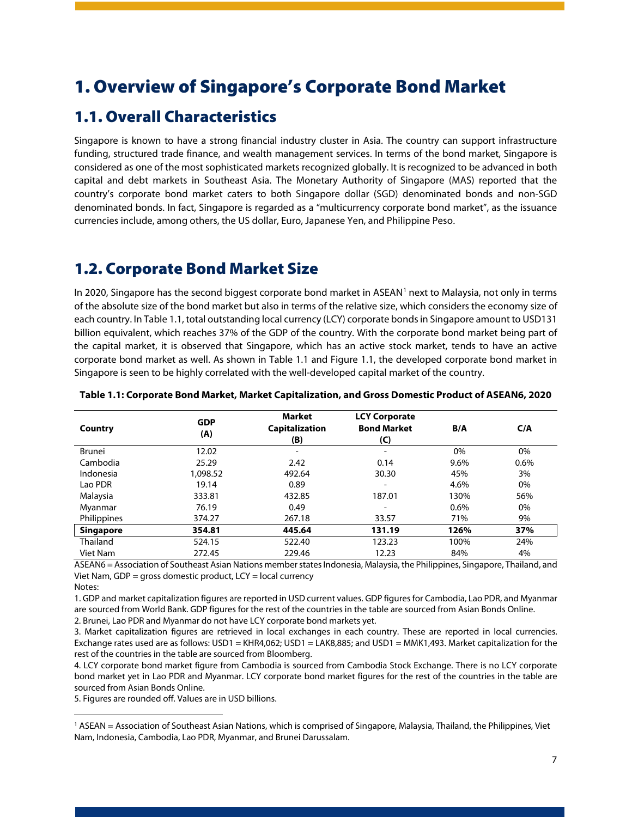## <span id="page-7-0"></span>1. Overview of Singapore's Corporate Bond Market

### <span id="page-7-1"></span>1.1. Overall Characteristics

Singapore is known to have a strong financial industry cluster in Asia. The country can support infrastructure funding, structured trade finance, and wealth management services. In terms of the bond market, Singapore is considered as one of the most sophisticated markets recognized globally. It is recognized to be advanced in both capital and debt markets in Southeast Asia. The Monetary Authority of Singapore (MAS) reported that the country's corporate bond market caters to both Singapore dollar (SGD) denominated bonds and non-SGD denominated bonds. In fact, Singapore is regarded as a "multicurrency corporate bond market", as the issuance currencies include, among others, the US dollar, Euro, Japanese Yen, and Philippine Peso.

### <span id="page-7-2"></span>1.2. Corporate Bond Market Size

In 2020, Singapore has the second biggest corporate bond market in ASEAN<sup>[1](#page-7-4)</sup> next to Malaysia, not only in terms of the absolute size of the bond market but also in terms of the relative size, which considers the economy size of each country. In Table 1.1, total outstanding local currency (LCY) corporate bonds in Singapore amount to USD131 billion equivalent, which reaches 37% of the GDP of the country. With the corporate bond market being part of the capital market, it is observed that Singapore, which has an active stock market, tends to have an active corporate bond market as well. As shown in Table 1.1 and Figure 1.1, the developed corporate bond market in Singapore is seen to be highly correlated with the well-developed capital market of the country.

| Country          | <b>GDP</b><br>(A) | <b>Market</b><br><b>Capitalization</b><br>(B) | <b>LCY Corporate</b><br><b>Bond Market</b><br>(C) | B/A  | C/A  |
|------------------|-------------------|-----------------------------------------------|---------------------------------------------------|------|------|
| Brunei           | 12.02             | $\overline{\phantom{a}}$                      | $\overline{\phantom{a}}$                          | 0%   | 0%   |
| Cambodia         | 25.29             | 2.42                                          | 0.14                                              | 9.6% | 0.6% |
| Indonesia        | 1.098.52          | 492.64                                        | 30.30                                             | 45%  | 3%   |
| Lao PDR          | 19.14             | 0.89                                          |                                                   | 4.6% | 0%   |
| Malaysia         | 333.81            | 432.85                                        | 187.01                                            | 130% | 56%  |
| Myanmar          | 76.19             | 0.49                                          | $\overline{\phantom{0}}$                          | 0.6% | 0%   |
| Philippines      | 374.27            | 267.18                                        | 33.57                                             | 71%  | 9%   |
| <b>Singapore</b> | 354.81            | 445.64                                        | 131.19                                            | 126% | 37%  |
| Thailand         | 524.15            | 522.40                                        | 123.23                                            | 100% | 24%  |
| Viet Nam         | 272.45            | 229.46                                        | 12.23                                             | 84%  | 4%   |

#### <span id="page-7-3"></span>**Table 1.1: Corporate Bond Market, Market Capitalization, and Gross Domestic Product of ASEAN6, 2020**

ASEAN6 = Association of Southeast Asian Nations member states Indonesia, Malaysia, the Philippines, Singapore, Thailand, and Viet Nam, GDP = gross domestic product,  $LCY = local$  currency

Notes:

1. GDP and market capitalization figures are reported in USD current values. GDP figures for Cambodia, Lao PDR, and Myanmar are sourced from World Bank. GDP figures for the rest of the countries in the table are sourced from Asian Bonds Online. 2. Brunei, Lao PDR and Myanmar do not have LCY corporate bond markets yet.

3. Market capitalization figures are retrieved in local exchanges in each country. These are reported in local currencies. Exchange rates used are as follows: USD1 = KHR4,062; USD1 = LAK8,885; and USD1 = MMK1,493. Market capitalization for the rest of the countries in the table are sourced from Bloomberg.

4. LCY corporate bond market figure from Cambodia is sourced from Cambodia Stock Exchange. There is no LCY corporate bond market yet in Lao PDR and Myanmar. LCY corporate bond market figures for the rest of the countries in the table are sourced from Asian Bonds Online.

5. Figures are rounded off. Values are in USD billions.

<span id="page-7-4"></span><sup>1</sup> ASEAN = Association of Southeast Asian Nations, which is comprised of Singapore, Malaysia, Thailand, the Philippines, Viet Nam, Indonesia, Cambodia, Lao PDR, Myanmar, and Brunei Darussalam.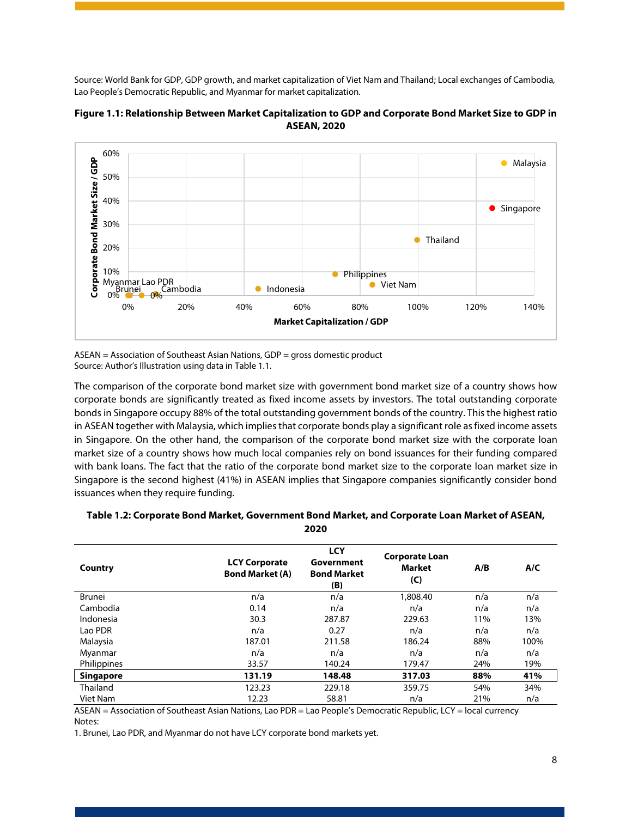Source: World Bank for GDP, GDP growth, and market capitalization of Viet Nam and Thailand; Local exchanges of Cambodia, Lao People's Democratic Republic, and Myanmar for market capitalization.



<span id="page-8-1"></span>

ASEAN = Association of Southeast Asian Nations, GDP = gross domestic product Source: Author's Illustration using data in Table 1.1.

The comparison of the corporate bond market size with government bond market size of a country shows how corporate bonds are significantly treated as fixed income assets by investors. The total outstanding corporate bonds in Singapore occupy 88% of the total outstanding government bonds of the country. This the highest ratio in ASEAN together with Malaysia, which implies that corporate bonds play a significant role as fixed income assets in Singapore. On the other hand, the comparison of the corporate bond market size with the corporate loan market size of a country shows how much local companies rely on bond issuances for their funding compared with bank loans. The fact that the ratio of the corporate bond market size to the corporate loan market size in Singapore is the second highest (41%) in ASEAN implies that Singapore companies significantly consider bond issuances when they require funding.

| Country          | <b>LCY Corporate</b><br><b>Bond Market (A)</b> | <b>LCY</b><br>Government<br><b>Bond Market</b><br>(B) | <b>Corporate Loan</b><br><b>Market</b><br>(C) | A/B | A/C  |
|------------------|------------------------------------------------|-------------------------------------------------------|-----------------------------------------------|-----|------|
| Brunei           | n/a                                            | n/a                                                   | 1,808.40                                      | n/a | n/a  |
| Cambodia         | 0.14                                           | n/a                                                   | n/a                                           | n/a | n/a  |
| Indonesia        | 30.3                                           | 287.87                                                | 229.63                                        | 11% | 13%  |
| Lao PDR          | n/a                                            | 0.27                                                  | n/a                                           | n/a | n/a  |
| Malaysia         | 187.01                                         | 211.58                                                | 186.24                                        | 88% | 100% |
| Myanmar          | n/a                                            | n/a                                                   | n/a                                           | n/a | n/a  |
| Philippines      | 33.57                                          | 140.24                                                | 179.47                                        | 24% | 19%  |
| <b>Singapore</b> | 131.19                                         | 148.48                                                | 317.03                                        | 88% | 41%  |
| Thailand         | 123.23                                         | 229.18                                                | 359.75                                        | 54% | 34%  |
| Viet Nam         | 12.23                                          | 58.81                                                 | n/a                                           | 21% | n/a  |

#### <span id="page-8-0"></span>**Table 1.2: Corporate Bond Market, Government Bond Market, and Corporate Loan Market of ASEAN, 2020**

ASEAN = Association of Southeast Asian Nations, Lao PDR = Lao People's Democratic Republic, LCY = local currency Notes:

1. Brunei, Lao PDR, and Myanmar do not have LCY corporate bond markets yet.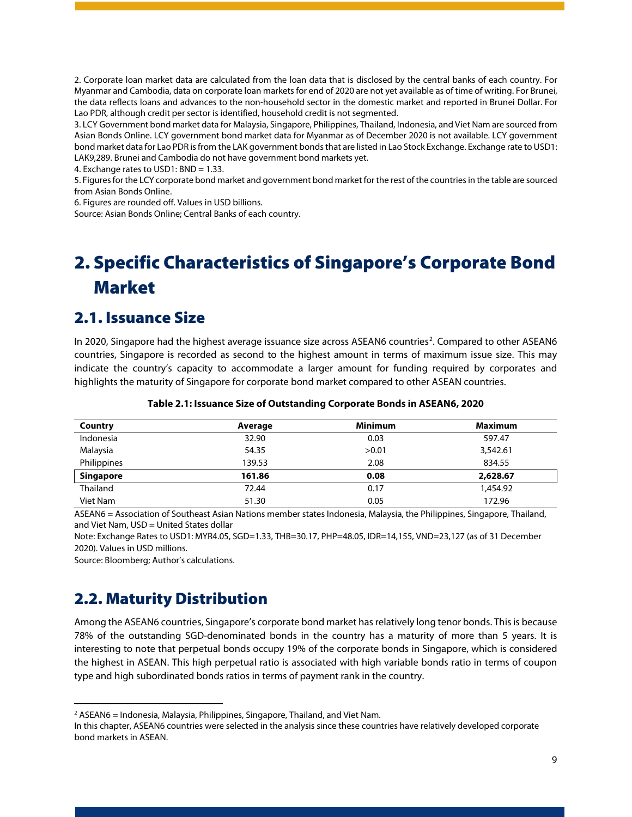2. Corporate loan market data are calculated from the loan data that is disclosed by the central banks of each country. For Myanmar and Cambodia, data on corporate loan markets for end of 2020 are not yet available as of time of writing. For Brunei, the data reflects loans and advances to the non-household sector in the domestic market and reported in Brunei Dollar. For Lao PDR, although credit per sector is identified, household credit is not segmented.

3. LCY Government bond market data for Malaysia, Singapore, Philippines, Thailand, Indonesia, and Viet Nam are sourced from Asian Bonds Online. LCY government bond market data for Myanmar as of December 2020 is not available. LCY government bond market data for Lao PDR is from the LAK government bonds that are listed in Lao Stock Exchange. Exchange rate to USD1: LAK9,289. Brunei and Cambodia do not have government bond markets yet.

4. Exchange rates to USD1: BND = 1.33.

5. Figures for the LCY corporate bond market and government bond market for the rest of the countries in the table are sourced from Asian Bonds Online.

6. Figures are rounded off. Values in USD billions.

Source: Asian Bonds Online; Central Banks of each country.

# <span id="page-9-0"></span>2. Specific Characteristics of Singapore's Corporate Bond Market

### <span id="page-9-1"></span>2.1. Issuance Size

In [2](#page-9-4)020, Singapore had the highest average issuance size across ASEAN6 countries<sup>2</sup>. Compared to other ASEAN6 countries, Singapore is recorded as second to the highest amount in terms of maximum issue size. This may indicate the country's capacity to accommodate a larger amount for funding required by corporates and highlights the maturity of Singapore for corporate bond market compared to other ASEAN countries.

<span id="page-9-3"></span>

| Country          | Average | <b>Minimum</b> | <b>Maximum</b> |
|------------------|---------|----------------|----------------|
| Indonesia        | 32.90   | 0.03           | 597.47         |
| Malaysia         | 54.35   | >0.01          | 3,542.61       |
| Philippines      | 139.53  | 2.08           | 834.55         |
| <b>Singapore</b> | 161.86  | 0.08           | 2,628.67       |
| Thailand         | 72.44   | 0.17           | 1,454.92       |
| Viet Nam         | 51.30   | 0.05           | 172.96         |

#### **Table 2.1: Issuance Size of Outstanding Corporate Bonds in ASEAN6, 2020**

ASEAN6 = Association of Southeast Asian Nations member states Indonesia, Malaysia, the Philippines, Singapore, Thailand, and Viet Nam, USD = United States dollar

Note: Exchange Rates to USD1: MYR4.05, SGD=1.33, THB=30.17, PHP=48.05, IDR=14,155, VND=23,127 (as of 31 December 2020). Values in USD millions.

Source: Bloomberg; Author's calculations.

## <span id="page-9-2"></span>2.2. Maturity Distribution

Among the ASEAN6 countries, Singapore's corporate bond market hasrelatively long tenor bonds. This is because 78% of the outstanding SGD-denominated bonds in the country has a maturity of more than 5 years. It is interesting to note that perpetual bonds occupy 19% of the corporate bonds in Singapore, which is considered the highest in ASEAN. This high perpetual ratio is associated with high variable bonds ratio in terms of coupon type and high subordinated bonds ratios in terms of payment rank in the country.

<span id="page-9-4"></span> $2$  ASEAN6 = Indonesia, Malaysia, Philippines, Singapore, Thailand, and Viet Nam.

In this chapter, ASEAN6 countries were selected in the analysis since these countries have relatively developed corporate bond markets in ASEAN.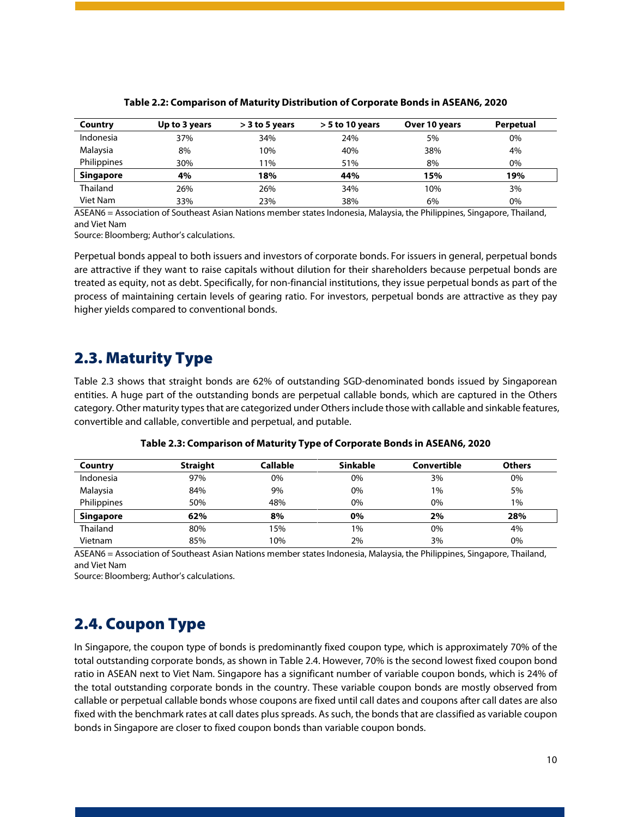<span id="page-10-2"></span>

| Country          | Up to 3 years | $>$ 3 to 5 years | $>$ 5 to 10 years | Over 10 years | Perpetual |
|------------------|---------------|------------------|-------------------|---------------|-----------|
| Indonesia        | 37%           | 34%              | 24%               | 5%            | 0%        |
| Malaysia         | 8%            | 10%              | 40%               | 38%           | 4%        |
| Philippines      | 30%           | 11%              | 51%               | 8%            | 0%        |
| <b>Singapore</b> | 4%            | 18%              | 44%               | 15%           | 19%       |
| Thailand         | 26%           | 26%              | 34%               | 10%           | 3%        |
| Viet Nam         | 33%           | 23%              | 38%               | 6%            | $0\%$     |

#### **Table 2.2: Comparison of Maturity Distribution of Corporate Bonds in ASEAN6, 2020**

ASEAN6 = Association of Southeast Asian Nations member states Indonesia, Malaysia, the Philippines, Singapore, Thailand, and Viet Nam

Source: Bloomberg; Author's calculations.

Perpetual bonds appeal to both issuers and investors of corporate bonds. For issuers in general, perpetual bonds are attractive if they want to raise capitals without dilution for their shareholders because perpetual bonds are treated as equity, not as debt. Specifically, for non-financial institutions, they issue perpetual bonds as part of the process of maintaining certain levels of gearing ratio. For investors, perpetual bonds are attractive as they pay higher yields compared to conventional bonds.

### <span id="page-10-0"></span>2.3. Maturity Type

Table 2.3 shows that straight bonds are 62% of outstanding SGD-denominated bonds issued by Singaporean entities. A huge part of the outstanding bonds are perpetual callable bonds, which are captured in the Others category. Other maturity types that are categorized under Others include those with callable and sinkable features, convertible and callable, convertible and perpetual, and putable.

<span id="page-10-3"></span>

| Country          | <b>Straight</b> | <b>Callable</b> | <b>Sinkable</b> | Convertible | <b>Others</b> |
|------------------|-----------------|-----------------|-----------------|-------------|---------------|
| Indonesia        | 97%             | 0%              | 0%              | 3%          | 0%            |
| Malaysia         | 84%             | 9%              | 0%              | 1%          | 5%            |
| Philippines      | 50%             | 48%             | 0%              | 0%          | 1%            |
| <b>Singapore</b> | 62%             | 8%              | 0%              | 2%          | 28%           |
| Thailand         | 80%             | 15%             | 1%              | 0%          | 4%            |
| Vietnam          | 85%             | 10%             | 2%              | 3%          | 0%            |

**Table 2.3: Comparison of Maturity Type of Corporate Bonds in ASEAN6, 2020**

ASEAN6 = Association of Southeast Asian Nations member states Indonesia, Malaysia, the Philippines, Singapore, Thailand, and Viet Nam

Source: Bloomberg; Author's calculations.

### <span id="page-10-1"></span>2.4. Coupon Type

In Singapore, the coupon type of bonds is predominantly fixed coupon type, which is approximately 70% of the total outstanding corporate bonds, as shown in Table 2.4. However, 70% is the second lowest fixed coupon bond ratio in ASEAN next to Viet Nam. Singapore has a significant number of variable coupon bonds, which is 24% of the total outstanding corporate bonds in the country. These variable coupon bonds are mostly observed from callable or perpetual callable bonds whose coupons are fixed until call dates and coupons after call dates are also fixed with the benchmark rates at call dates plus spreads. As such, the bonds that are classified as variable coupon bonds in Singapore are closer to fixed coupon bonds than variable coupon bonds.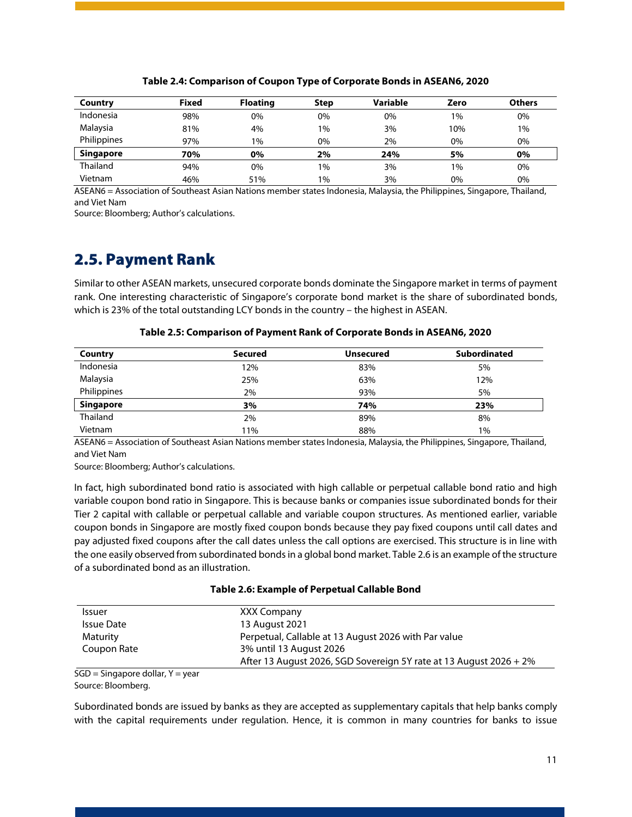<span id="page-11-1"></span>

| Country          | <b>Fixed</b> | <b>Floating</b> | <b>Step</b> | Variable | Zero  | <b>Others</b> |
|------------------|--------------|-----------------|-------------|----------|-------|---------------|
| Indonesia        | 98%          | 0%              | 0%          | 0%       | $1\%$ | 0%            |
| Malaysia         | 81%          | 4%              | 1%          | 3%       | 10%   | $1\%$         |
| Philippines      | 97%          | $1\%$           | 0%          | 2%       | 0%    | 0%            |
| <b>Singapore</b> | 70%          | 0%              | 2%          | 24%      | 5%    | 0%            |
| Thailand         | 94%          | 0%              | 1%          | 3%       | $1\%$ | 0%            |
| Vietnam          | 46%          | 51%             | 1%          | 3%       | 0%    | 0%            |

#### **Table 2.4: Comparison of Coupon Type of Corporate Bonds in ASEAN6, 2020**

ASEAN6 = Association of Southeast Asian Nations member states Indonesia, Malaysia, the Philippines, Singapore, Thailand, and Viet Nam

Source: Bloomberg; Author's calculations.

### <span id="page-11-0"></span>2.5. Payment Rank

Similar to other ASEAN markets, unsecured corporate bonds dominate the Singapore market in terms of payment rank. One interesting characteristic of Singapore's corporate bond market is the share of subordinated bonds, which is 23% of the total outstanding LCY bonds in the country – the highest in ASEAN.

<span id="page-11-2"></span>

| Country          | <b>Secured</b> | <b>Unsecured</b> | <b>Subordinated</b> |
|------------------|----------------|------------------|---------------------|
| Indonesia        | 12%            | 83%              | 5%                  |
| Malaysia         | 25%            | 63%              |                     |
| Philippines      | 2%             | 93%              | 5%                  |
| <b>Singapore</b> | 3%             | 74%              | 23%                 |
| Thailand         | 2%             | 89%              | 8%                  |
| Vietnam          | 11%            | 88%              | $1\%$               |

**Table 2.5: Comparison of Payment Rank of Corporate Bonds in ASEAN6, 2020**

ASEAN6 = Association of Southeast Asian Nations member states Indonesia, Malaysia, the Philippines, Singapore, Thailand, and Viet Nam

Source: Bloomberg; Author's calculations.

In fact, high subordinated bond ratio is associated with high callable or perpetual callable bond ratio and high variable coupon bond ratio in Singapore. This is because banks or companies issue subordinated bonds for their Tier 2 capital with callable or perpetual callable and variable coupon structures. As mentioned earlier, variable coupon bonds in Singapore are mostly fixed coupon bonds because they pay fixed coupons until call dates and pay adjusted fixed coupons after the call dates unless the call options are exercised. This structure is in line with the one easily observed from subordinated bonds in a global bond market. Table 2.6 is an example of the structure of a subordinated bond as an illustration.

#### **Table 2.6: Example of Perpetual Callable Bond**

<span id="page-11-3"></span>

| XXX Company                                                        |
|--------------------------------------------------------------------|
| 13 August 2021                                                     |
| Perpetual, Callable at 13 August 2026 with Par value               |
| 3% until 13 August 2026                                            |
| After 13 August 2026, SGD Sovereign 5Y rate at 13 August 2026 + 2% |
|                                                                    |

SGD = Singapore dollar, Y = year Source: Bloomberg.

Subordinated bonds are issued by banks as they are accepted as supplementary capitals that help banks comply with the capital requirements under regulation. Hence, it is common in many countries for banks to issue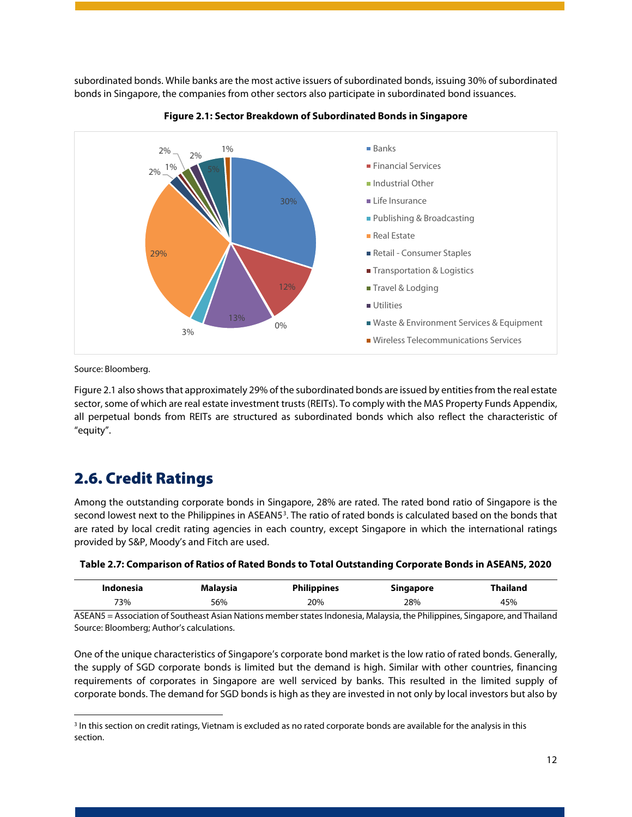subordinated bonds. While banks are the most active issuers of subordinated bonds, issuing 30% of subordinated bonds in Singapore, the companies from other sectors also participate in subordinated bond issuances.

<span id="page-12-2"></span>



Source: Bloomberg.

Figure 2.1 also shows that approximately 29% of the subordinated bonds are issued by entities from the real estate sector, some of which are real estate investment trusts (REITs). To comply with the MAS Property Funds Appendix, all perpetual bonds from REITs are structured as subordinated bonds which also reflect the characteristic of "equity".

## <span id="page-12-0"></span>2.6. Credit Ratings

Among the outstanding corporate bonds in Singapore, 28% are rated. The rated bond ratio of Singapore is the second lowest next to the Philippines in ASEAN5<sup>[3](#page-12-3)</sup>. The ratio of rated bonds is calculated based on the bonds that are rated by local credit rating agencies in each country, except Singapore in which the international ratings provided by S&P, Moody's and Fitch are used.

<span id="page-12-1"></span>

| Table 2.7: Comparison of Ratios of Rated Bonds to Total Outstanding Corporate Bonds in ASEAN5, 2020 |  |
|-----------------------------------------------------------------------------------------------------|--|
|-----------------------------------------------------------------------------------------------------|--|

| Indonesia                                                                                                                | Malavsia | <b>Philippines</b> | Singapore | <b>Thailand</b> |
|--------------------------------------------------------------------------------------------------------------------------|----------|--------------------|-----------|-----------------|
| 73%                                                                                                                      | 56%      | 20%                | 28%       | 45%             |
| ASEAN5 - Association of Southeast Asian Nations member states Indonesia Malaysia the Philippines Singapore, and Thailand |          |                    |           |                 |

ASEAN5 = Association of Southeast Asian Nations member states Indonesia, Malaysia, the Philippines, Singapore, and Thailand Source: Bloomberg; Author's calculations.

One of the unique characteristics of Singapore's corporate bond market is the low ratio of rated bonds. Generally, the supply of SGD corporate bonds is limited but the demand is high. Similar with other countries, financing requirements of corporates in Singapore are well serviced by banks. This resulted in the limited supply of corporate bonds. The demand for SGD bonds is high as they are invested in not only by local investors but also by

<span id="page-12-3"></span><sup>&</sup>lt;sup>3</sup> In this section on credit ratings, Vietnam is excluded as no rated corporate bonds are available for the analysis in this section.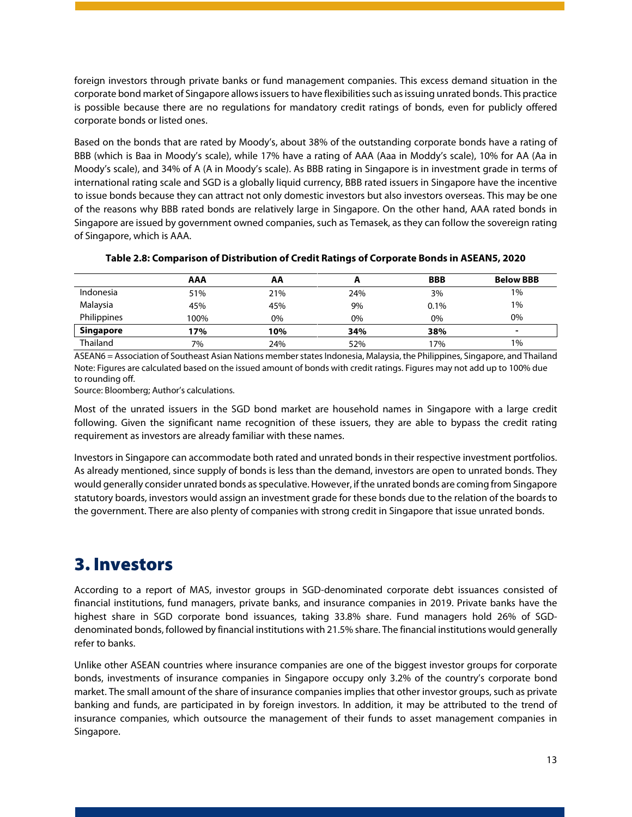foreign investors through private banks or fund management companies. This excess demand situation in the corporate bond market of Singapore allows issuers to have flexibilities such as issuing unrated bonds. This practice is possible because there are no regulations for mandatory credit ratings of bonds, even for publicly offered corporate bonds or listed ones.

Based on the bonds that are rated by Moody's, about 38% of the outstanding corporate bonds have a rating of BBB (which is Baa in Moody's scale), while 17% have a rating of AAA (Aaa in Moddy's scale), 10% for AA (Aa in Moody's scale), and 34% of A (A in Moody's scale). As BBB rating in Singapore is in investment grade in terms of international rating scale and SGD is a globally liquid currency, BBB rated issuers in Singapore have the incentive to issue bonds because they can attract not only domestic investors but also investors overseas. This may be one of the reasons why BBB rated bonds are relatively large in Singapore. On the other hand, AAA rated bonds in Singapore are issued by government owned companies, such as Temasek, as they can follow the sovereign rating of Singapore, which is AAA.

<span id="page-13-1"></span>

|                  | <b>AAA</b> | AA  | л.  | <b>BBB</b> | <b>Below BBB</b> |
|------------------|------------|-----|-----|------------|------------------|
| Indonesia        | 51%        | 21% | 24% | 3%         | 1%               |
| Malaysia         | 45%        | 45% | 9%  | 0.1%       | 1%               |
| Philippines      | 100%       | 0%  | 0%  | 0%         | 0%               |
| <b>Singapore</b> | 17%        | 10% | 34% | 38%        | ۰                |
| Thailand         | 7%         | 24% | 52% | 17%        | 1%               |

#### **Table 2.8: Comparison of Distribution of Credit Ratings of Corporate Bonds in ASEAN5, 2020**

ASEAN6 = Association of Southeast Asian Nations member states Indonesia, Malaysia, the Philippines, Singapore, and Thailand Note: Figures are calculated based on the issued amount of bonds with credit ratings. Figures may not add up to 100% due to rounding off.

Source: Bloomberg; Author's calculations.

Most of the unrated issuers in the SGD bond market are household names in Singapore with a large credit following. Given the significant name recognition of these issuers, they are able to bypass the credit rating requirement as investors are already familiar with these names.

Investors in Singapore can accommodate both rated and unrated bonds in their respective investment portfolios. As already mentioned, since supply of bonds is less than the demand, investors are open to unrated bonds. They would generally consider unrated bonds as speculative. However, if the unrated bonds are coming from Singapore statutory boards, investors would assign an investment grade for these bonds due to the relation of the boards to the government. There are also plenty of companies with strong credit in Singapore that issue unrated bonds.

# <span id="page-13-0"></span>3. Investors

According to a report of MAS, investor groups in SGD-denominated corporate debt issuances consisted of financial institutions, fund managers, private banks, and insurance companies in 2019. Private banks have the highest share in SGD corporate bond issuances, taking 33.8% share. Fund managers hold 26% of SGDdenominated bonds, followed by financial institutions with 21.5% share. The financial institutions would generally refer to banks.

Unlike other ASEAN countries where insurance companies are one of the biggest investor groups for corporate bonds, investments of insurance companies in Singapore occupy only 3.2% of the country's corporate bond market. The small amount of the share of insurance companies implies that other investor groups, such as private banking and funds, are participated in by foreign investors. In addition, it may be attributed to the trend of insurance companies, which outsource the management of their funds to asset management companies in Singapore.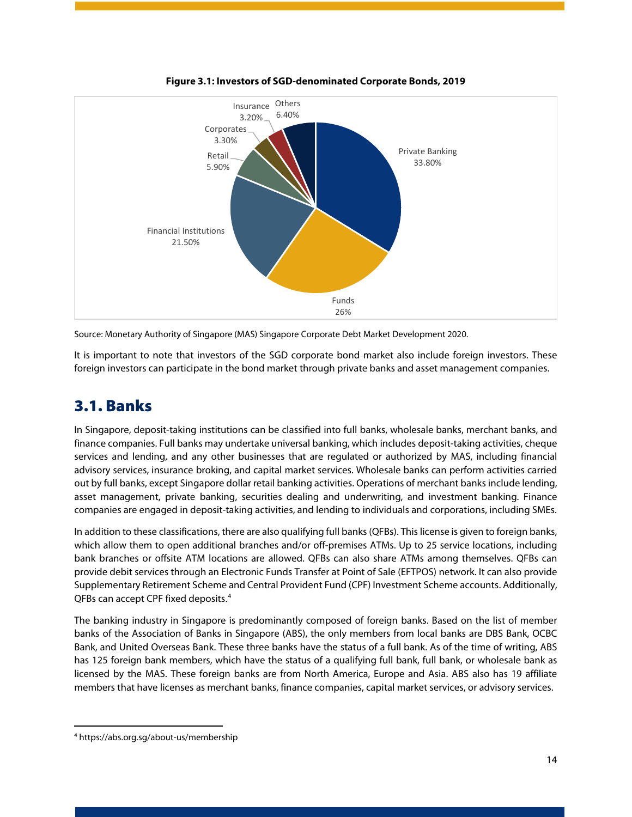<span id="page-14-1"></span>

**Figure 3.1: Investors of SGD-denominated Corporate Bonds, 2019**

Source: Monetary Authority of Singapore (MAS) Singapore Corporate Debt Market Development 2020.

It is important to note that investors of the SGD corporate bond market also include foreign investors. These foreign investors can participate in the bond market through private banks and asset management companies.

### <span id="page-14-0"></span>3.1. Banks

In Singapore, deposit-taking institutions can be classified into full banks, wholesale banks, merchant banks, and finance companies. Full banks may undertake universal banking, which includes deposit-taking activities, cheque services and lending, and any other businesses that are regulated or authorized by MAS, including financial advisory services, insurance broking, and capital market services. Wholesale banks can perform activities carried out by full banks, except Singapore dollar retail banking activities. Operations of merchant banks include lending, asset management, private banking, securities dealing and underwriting, and investment banking. Finance companies are engaged in deposit-taking activities, and lending to individuals and corporations, including SMEs.

In addition to these classifications, there are also qualifying full banks(QFBs). This license is given to foreign banks, which allow them to open additional branches and/or off-premises ATMs. Up to 25 service locations, including bank branches or offsite ATM locations are allowed. QFBs can also share ATMs among themselves. QFBs can provide debit services through an Electronic Funds Transfer at Point of Sale (EFTPOS) network. It can also provide Supplementary Retirement Scheme and Central Provident Fund (CPF) Investment Scheme accounts. Additionally, QFBs can accept CPF fixed deposits.[4](#page-14-2)

The banking industry in Singapore is predominantly composed of foreign banks. Based on the list of member banks of the Association of Banks in Singapore (ABS), the only members from local banks are DBS Bank, OCBC Bank, and United Overseas Bank. These three banks have the status of a full bank. As of the time of writing, ABS has 125 foreign bank members, which have the status of a qualifying full bank, full bank, or wholesale bank as licensed by the MAS. These foreign banks are from North America, Europe and Asia. ABS also has 19 affiliate members that have licenses as merchant banks, finance companies, capital market services, or advisory services.

<span id="page-14-2"></span><sup>4</sup> https://abs.org.sg/about-us/membership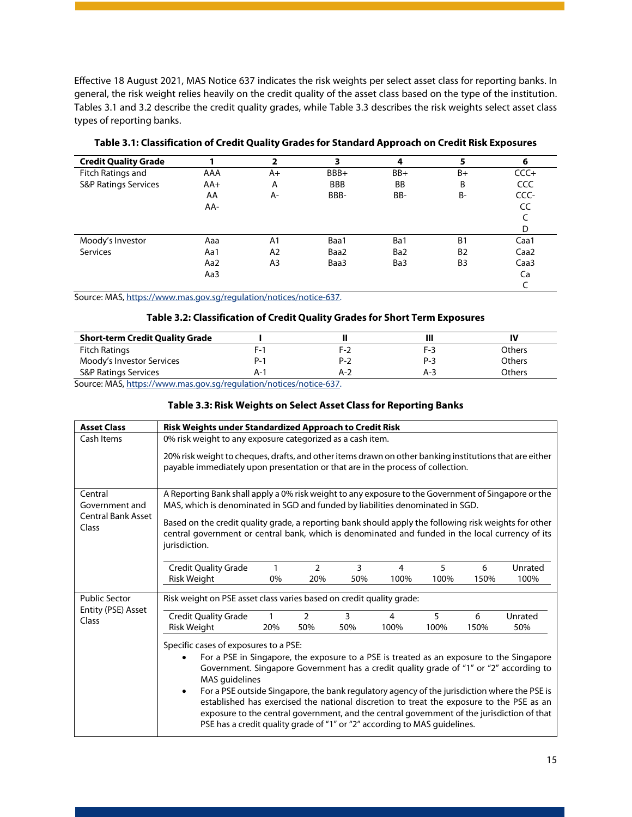Effective 18 August 2021, MAS Notice 637 indicates the risk weights per select asset class for reporting banks. In general, the risk weight relies heavily on the credit quality of the asset class based on the type of the institution. Tables 3.1 and 3.2 describe the credit quality grades, while Table 3.3 describes the risk weights select asset class types of reporting banks.

<span id="page-15-0"></span>

| <b>Credit Quality Grade</b>     |       | 2              | 3          | 4               | 5              | 6                |
|---------------------------------|-------|----------------|------------|-----------------|----------------|------------------|
| Fitch Ratings and               | AAA   | A+             | BBB+       | $BB+$           | B+             | $CCC +$          |
| <b>S&amp;P Ratings Services</b> | $AA+$ | A              | <b>BBB</b> | BB              | B              | CCC              |
|                                 | AA    | A-             | BBB-       | BB-             | <b>B-</b>      | CCC-             |
|                                 | AA-   |                |            |                 |                | CC               |
|                                 |       |                |            |                 |                |                  |
|                                 |       |                |            |                 |                | D                |
| Moody's Investor                | Aaa   | A <sub>1</sub> | Baa1       | Ba1             | B <sub>1</sub> | Caa1             |
| Services                        | Aa1   | A2             | Baa2       | Ba <sub>2</sub> | <b>B2</b>      | Caa <sub>2</sub> |
|                                 | Aa2   | A <sub>3</sub> | Baa3       | Ba3             | B <sub>3</sub> | Caa <sub>3</sub> |
|                                 | Aa3   |                |            |                 |                | Ca               |
|                                 |       |                |            |                 |                |                  |

**Table 3.1: Classification of Credit Quality Grades for Standard Approach on Credit Risk Exposures**

<span id="page-15-1"></span>Source: MAS[, https://www.mas.gov.sg/regulation/notices/notice-637.](https://www.mas.gov.sg/regulation/notices/notice-637)

#### **Table 3.2: Classification of Credit Quality Grades for Short Term Exposures**

| <b>Short-term Credit Quality Grade</b> |     |     |       | IV            |
|----------------------------------------|-----|-----|-------|---------------|
| <b>Fitch Ratings</b>                   | F-1 | F-2 | F-3   | Others        |
| Moody's Investor Services              | P-  | P-2 | $P-3$ | <b>Others</b> |
| <b>S&amp;P Ratings Services</b>        | A-1 | A-2 | $A-3$ | Others        |

<span id="page-15-2"></span>Source: MAS[, https://www.mas.gov.sg/regulation/notices/notice-637.](https://www.mas.gov.sg/regulation/notices/notice-637)

#### **Table 3.3: Risk Weights on Select Asset Class for Reporting Banks**

| <b>Asset Class</b>                         | Risk Weights under Standardized Approach to Credit Risk                                                                                                                                                                                                                                                                                                                                                                                                                                                                                                                                                                           |  |  |  |
|--------------------------------------------|-----------------------------------------------------------------------------------------------------------------------------------------------------------------------------------------------------------------------------------------------------------------------------------------------------------------------------------------------------------------------------------------------------------------------------------------------------------------------------------------------------------------------------------------------------------------------------------------------------------------------------------|--|--|--|
| Cash Items                                 | 0% risk weight to any exposure categorized as a cash item.                                                                                                                                                                                                                                                                                                                                                                                                                                                                                                                                                                        |  |  |  |
|                                            | 20% risk weight to cheques, drafts, and other items drawn on other banking institutions that are either<br>payable immediately upon presentation or that are in the process of collection.                                                                                                                                                                                                                                                                                                                                                                                                                                        |  |  |  |
| Central                                    | A Reporting Bank shall apply a 0% risk weight to any exposure to the Government of Singapore or the                                                                                                                                                                                                                                                                                                                                                                                                                                                                                                                               |  |  |  |
| Government and                             | MAS, which is denominated in SGD and funded by liabilities denominated in SGD.                                                                                                                                                                                                                                                                                                                                                                                                                                                                                                                                                    |  |  |  |
| <b>Central Bank Asset</b><br>Class         | Based on the credit quality grade, a reporting bank should apply the following risk weights for other<br>central government or central bank, which is denominated and funded in the local currency of its<br>jurisdiction.                                                                                                                                                                                                                                                                                                                                                                                                        |  |  |  |
|                                            | 3<br><b>Credit Quality Grade</b><br>$\overline{2}$<br>5<br>$\overline{4}$<br>Unrated<br>1<br>6                                                                                                                                                                                                                                                                                                                                                                                                                                                                                                                                    |  |  |  |
|                                            | <b>Risk Weight</b><br>0%<br>50%<br>100%<br>150%<br>100%<br>20%<br>100%                                                                                                                                                                                                                                                                                                                                                                                                                                                                                                                                                            |  |  |  |
| <b>Public Sector</b><br>Entity (PSE) Asset | Risk weight on PSE asset class varies based on credit quality grade:                                                                                                                                                                                                                                                                                                                                                                                                                                                                                                                                                              |  |  |  |
| Class                                      | 5<br><b>Credit Quality Grade</b><br>3<br>Unrated<br>$\mathfrak{p}$<br>6<br>4                                                                                                                                                                                                                                                                                                                                                                                                                                                                                                                                                      |  |  |  |
|                                            | Risk Weight<br>50%<br>50%<br>100%<br>100%<br>150%<br>50%<br>20%                                                                                                                                                                                                                                                                                                                                                                                                                                                                                                                                                                   |  |  |  |
|                                            | Specific cases of exposures to a PSE:<br>For a PSE in Singapore, the exposure to a PSE is treated as an exposure to the Singapore<br>Government. Singapore Government has a credit quality grade of "1" or "2" according to<br>MAS guidelines<br>For a PSE outside Singapore, the bank regulatory agency of the jurisdiction where the PSE is<br>$\bullet$<br>established has exercised the national discretion to treat the exposure to the PSE as an<br>exposure to the central government, and the central government of the jurisdiction of that<br>PSE has a credit quality grade of "1" or "2" according to MAS guidelines. |  |  |  |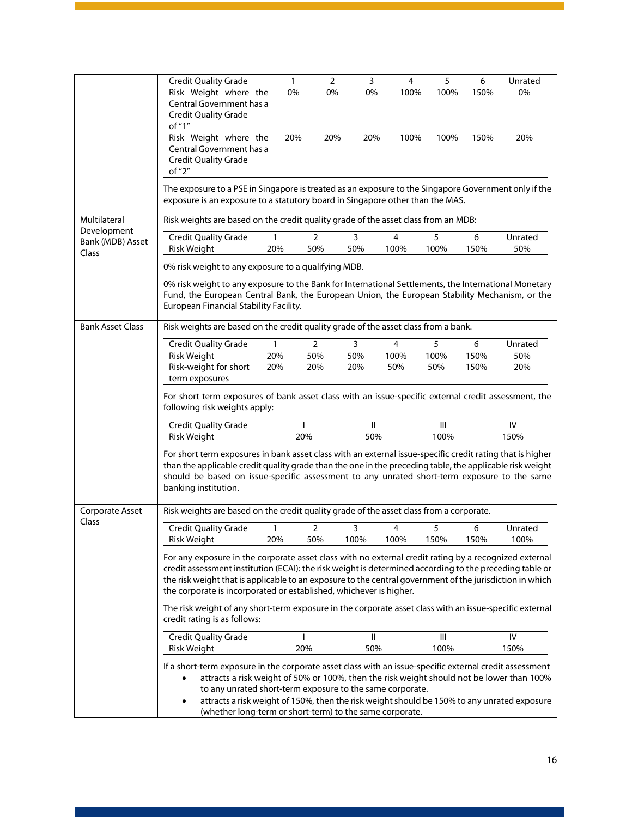|                                 | <b>Credit Quality Grade</b>                                                                                                                                                                                                                                                                                                                                                                                                                            | $\mathbf{1}$ | $\overline{2}$ | $\overline{3}$ | $\overline{\mathbf{4}}$ | 5    | 6    | Unrated |
|---------------------------------|--------------------------------------------------------------------------------------------------------------------------------------------------------------------------------------------------------------------------------------------------------------------------------------------------------------------------------------------------------------------------------------------------------------------------------------------------------|--------------|----------------|----------------|-------------------------|------|------|---------|
|                                 | Risk Weight where the                                                                                                                                                                                                                                                                                                                                                                                                                                  | 0%           | 0%             | 0%             | 100%                    | 100% | 150% | 0%      |
|                                 | Central Government has a                                                                                                                                                                                                                                                                                                                                                                                                                               |              |                |                |                         |      |      |         |
|                                 | <b>Credit Quality Grade</b><br>of "1"                                                                                                                                                                                                                                                                                                                                                                                                                  |              |                |                |                         |      |      |         |
|                                 | Risk Weight where the                                                                                                                                                                                                                                                                                                                                                                                                                                  | 20%          | 20%            | 20%            | 100%                    | 100% | 150% | 20%     |
|                                 | Central Government has a                                                                                                                                                                                                                                                                                                                                                                                                                               |              |                |                |                         |      |      |         |
|                                 | <b>Credit Quality Grade</b>                                                                                                                                                                                                                                                                                                                                                                                                                            |              |                |                |                         |      |      |         |
|                                 | of "2"                                                                                                                                                                                                                                                                                                                                                                                                                                                 |              |                |                |                         |      |      |         |
|                                 | The exposure to a PSE in Singapore is treated as an exposure to the Singapore Government only if the<br>exposure is an exposure to a statutory board in Singapore other than the MAS.                                                                                                                                                                                                                                                                  |              |                |                |                         |      |      |         |
| Multilateral                    | Risk weights are based on the credit quality grade of the asset class from an MDB:                                                                                                                                                                                                                                                                                                                                                                     |              |                |                |                         |      |      |         |
| Development<br>Bank (MDB) Asset | <b>Credit Quality Grade</b>                                                                                                                                                                                                                                                                                                                                                                                                                            | 1            | $\overline{2}$ | 3              | 4                       | 5    | 6    | Unrated |
| Class                           | Risk Weight                                                                                                                                                                                                                                                                                                                                                                                                                                            | 20%          | 50%            | 50%            | 100%                    | 100% | 150% | 50%     |
|                                 | 0% risk weight to any exposure to a qualifying MDB.                                                                                                                                                                                                                                                                                                                                                                                                    |              |                |                |                         |      |      |         |
|                                 | 0% risk weight to any exposure to the Bank for International Settlements, the International Monetary                                                                                                                                                                                                                                                                                                                                                   |              |                |                |                         |      |      |         |
|                                 | Fund, the European Central Bank, the European Union, the European Stability Mechanism, or the                                                                                                                                                                                                                                                                                                                                                          |              |                |                |                         |      |      |         |
|                                 | European Financial Stability Facility.                                                                                                                                                                                                                                                                                                                                                                                                                 |              |                |                |                         |      |      |         |
| <b>Bank Asset Class</b>         | Risk weights are based on the credit quality grade of the asset class from a bank.                                                                                                                                                                                                                                                                                                                                                                     |              |                |                |                         |      |      |         |
|                                 | <b>Credit Quality Grade</b>                                                                                                                                                                                                                                                                                                                                                                                                                            | 1            | 2              | 3              | 4                       | 5    | 6    | Unrated |
|                                 | <b>Risk Weight</b>                                                                                                                                                                                                                                                                                                                                                                                                                                     | 20%          | 50%            | 50%            | 100%                    | 100% | 150% | 50%     |
|                                 | Risk-weight for short                                                                                                                                                                                                                                                                                                                                                                                                                                  | 20%          | 20%            | 20%            | 50%                     | 50%  | 150% | 20%     |
|                                 | term exposures                                                                                                                                                                                                                                                                                                                                                                                                                                         |              |                |                |                         |      |      |         |
|                                 | For short term exposures of bank asset class with an issue-specific external credit assessment, the<br>following risk weights apply:                                                                                                                                                                                                                                                                                                                   |              |                |                |                         |      |      |         |
|                                 | <b>Credit Quality Grade</b>                                                                                                                                                                                                                                                                                                                                                                                                                            |              |                | $\mathbf{II}$  |                         | III  |      | IV      |
|                                 | Risk Weight                                                                                                                                                                                                                                                                                                                                                                                                                                            |              | 20%            | 50%            |                         | 100% |      | 150%    |
|                                 | For short term exposures in bank asset class with an external issue-specific credit rating that is higher<br>than the applicable credit quality grade than the one in the preceding table, the applicable risk weight<br>should be based on issue-specific assessment to any unrated short-term exposure to the same<br>banking institution.                                                                                                           |              |                |                |                         |      |      |         |
| Corporate Asset                 | Risk weights are based on the credit quality grade of the asset class from a corporate.                                                                                                                                                                                                                                                                                                                                                                |              |                |                |                         |      |      |         |
| Class                           | <b>Credit Quality Grade</b>                                                                                                                                                                                                                                                                                                                                                                                                                            | 1            | $\overline{2}$ | 3              | 4                       | 5    | 6    | Unrated |
|                                 | Risk Weight                                                                                                                                                                                                                                                                                                                                                                                                                                            | 20%          | 50%            | 100%           | 100%                    | 150% | 150% | 100%    |
|                                 | For any exposure in the corporate asset class with no external credit rating by a recognized external<br>credit assessment institution (ECAI): the risk weight is determined according to the preceding table or<br>the risk weight that is applicable to an exposure to the central government of the jurisdiction in which<br>the corporate is incorporated or established, whichever is higher.                                                     |              |                |                |                         |      |      |         |
|                                 | The risk weight of any short-term exposure in the corporate asset class with an issue-specific external<br>credit rating is as follows:                                                                                                                                                                                                                                                                                                                |              |                |                |                         |      |      |         |
|                                 | <b>Credit Quality Grade</b>                                                                                                                                                                                                                                                                                                                                                                                                                            |              |                | Ш              |                         | Ш    |      | IV      |
|                                 | Risk Weight                                                                                                                                                                                                                                                                                                                                                                                                                                            |              | 20%            | 50%            |                         | 100% |      | 150%    |
|                                 | If a short-term exposure in the corporate asset class with an issue-specific external credit assessment<br>attracts a risk weight of 50% or 100%, then the risk weight should not be lower than 100%<br>$\bullet$<br>to any unrated short-term exposure to the same corporate.<br>attracts a risk weight of 150%, then the risk weight should be 150% to any unrated exposure<br>$\bullet$<br>(whether long-term or short-term) to the same corporate. |              |                |                |                         |      |      |         |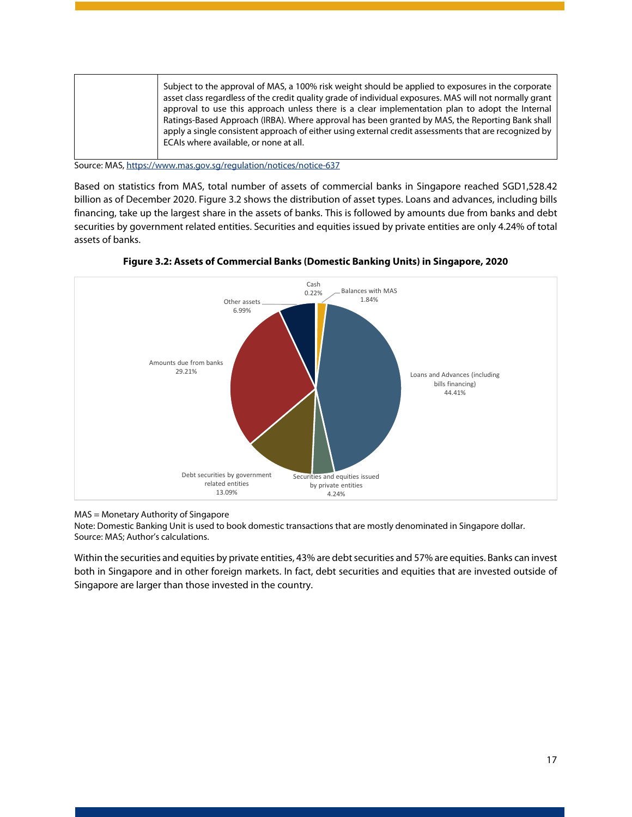| Subject to the approval of MAS, a 100% risk weight should be applied to exposures in the corporate<br>asset class regardless of the credit quality grade of individual exposures. MAS will not normally grant<br>approval to use this approach unless there is a clear implementation plan to adopt the Internal<br>Ratings-Based Approach (IRBA). Where approval has been granted by MAS, the Reporting Bank shall<br>apply a single consistent approach of either using external credit assessments that are recognized by<br>ECAIs where available, or none at all. |
|------------------------------------------------------------------------------------------------------------------------------------------------------------------------------------------------------------------------------------------------------------------------------------------------------------------------------------------------------------------------------------------------------------------------------------------------------------------------------------------------------------------------------------------------------------------------|
|------------------------------------------------------------------------------------------------------------------------------------------------------------------------------------------------------------------------------------------------------------------------------------------------------------------------------------------------------------------------------------------------------------------------------------------------------------------------------------------------------------------------------------------------------------------------|

Source: MAS[, https://www.mas.gov.sg/regulation/notices/notice-637](https://www.mas.gov.sg/regulation/notices/notice-637)

Based on statistics from MAS, total number of assets of commercial banks in Singapore reached SGD1,528.42 billion as of December 2020. Figure 3.2 shows the distribution of asset types. Loans and advances, including bills financing, take up the largest share in the assets of banks. This is followed by amounts due from banks and debt securities by government related entities. Securities and equities issued by private entities are only 4.24% of total assets of banks.

<span id="page-17-0"></span>

**Figure 3.2: Assets of Commercial Banks (Domestic Banking Units) in Singapore, 2020**

MAS = Monetary Authority of Singapore

Note: Domestic Banking Unit is used to book domestic transactions that are mostly denominated in Singapore dollar. Source: MAS; Author's calculations.

Within the securities and equities by private entities, 43% are debt securities and 57% are equities. Banks can invest both in Singapore and in other foreign markets. In fact, debt securities and equities that are invested outside of Singapore are larger than those invested in the country.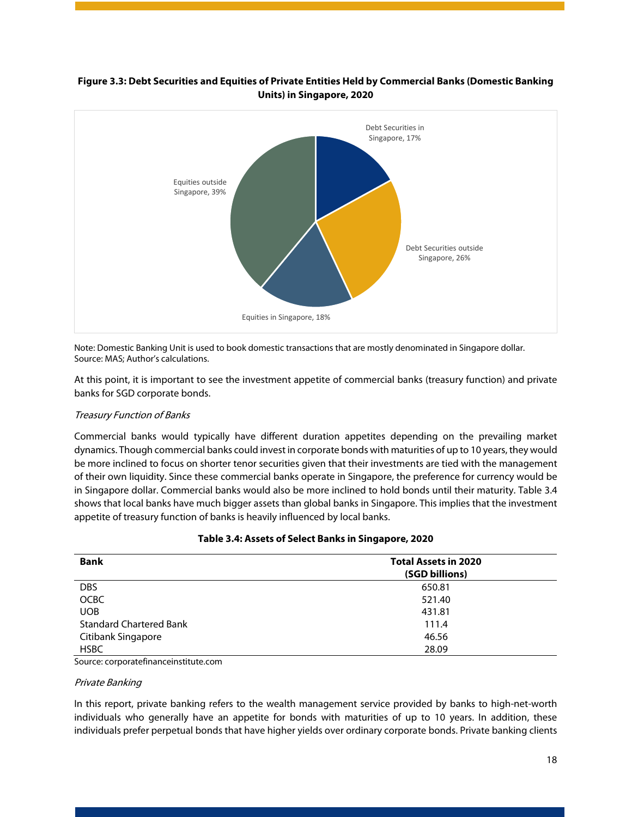

#### <span id="page-18-1"></span>**Figure 3.3: Debt Securities and Equities of Private Entities Held by Commercial Banks (Domestic Banking Units) in Singapore, 2020**

Note: Domestic Banking Unit is used to book domestic transactions that are mostly denominated in Singapore dollar. Source: MAS; Author's calculations.

At this point, it is important to see the investment appetite of commercial banks (treasury function) and private banks for SGD corporate bonds.

#### Treasury Function of Banks

Commercial banks would typically have different duration appetites depending on the prevailing market dynamics. Though commercial banks could invest in corporate bonds with maturities of up to 10 years, they would be more inclined to focus on shorter tenor securities given that their investments are tied with the management of their own liquidity. Since these commercial banks operate in Singapore, the preference for currency would be in Singapore dollar. Commercial banks would also be more inclined to hold bonds until their maturity. Table 3.4 shows that local banks have much bigger assets than global banks in Singapore. This implies that the investment appetite of treasury function of banks is heavily influenced by local banks.

<span id="page-18-0"></span>

| <b>Bank</b>                    | <b>Total Assets in 2020</b> |
|--------------------------------|-----------------------------|
|                                | (SGD billions)              |
| <b>DBS</b>                     | 650.81                      |
| <b>OCBC</b>                    | 521.40                      |
| <b>UOB</b>                     | 431.81                      |
| <b>Standard Chartered Bank</b> | 111.4                       |
| Citibank Singapore             | 46.56                       |
| <b>HSBC</b>                    | 28.09                       |

#### **Table 3.4: Assets of Select Banks in Singapore, 2020**

Source: corporatefinanceinstitute.com

#### Private Banking

In this report, private banking refers to the wealth management service provided by banks to high-net-worth individuals who generally have an appetite for bonds with maturities of up to 10 years. In addition, these individuals prefer perpetual bonds that have higher yields over ordinary corporate bonds. Private banking clients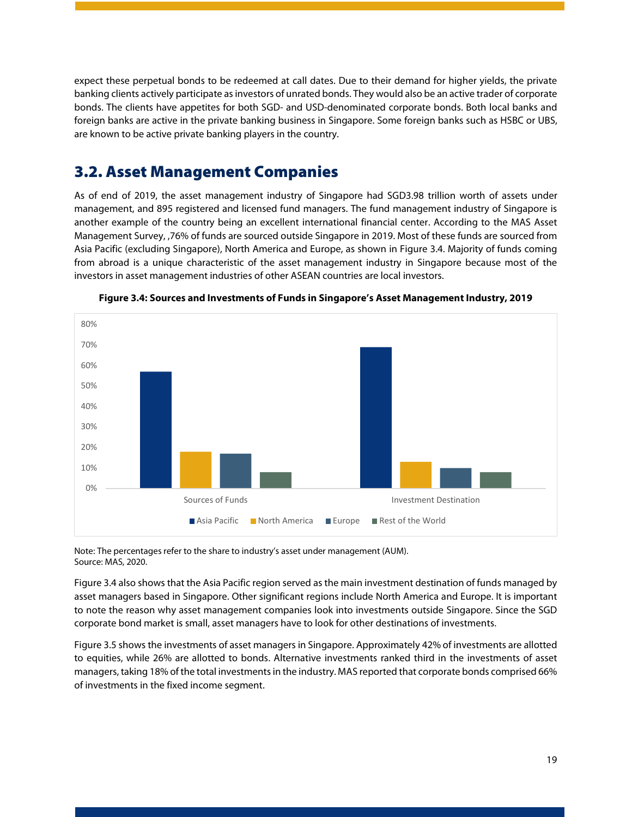expect these perpetual bonds to be redeemed at call dates. Due to their demand for higher yields, the private banking clients actively participate as investors of unrated bonds. They would also be an active trader of corporate bonds. The clients have appetites for both SGD- and USD-denominated corporate bonds. Both local banks and foreign banks are active in the private banking business in Singapore. Some foreign banks such as HSBC or UBS, are known to be active private banking players in the country.

### <span id="page-19-0"></span>3.2. Asset Management Companies

As of end of 2019, the asset management industry of Singapore had SGD3.98 trillion worth of assets under management, and 895 registered and licensed fund managers. The fund management industry of Singapore is another example of the country being an excellent international financial center. According to the MAS Asset Management Survey, ,76% of funds are sourced outside Singapore in 2019. Most of these funds are sourced from Asia Pacific (excluding Singapore), North America and Europe, as shown in Figure 3.4. Majority of funds coming from abroad is a unique characteristic of the asset management industry in Singapore because most of the investors in asset management industries of other ASEAN countries are local investors.

<span id="page-19-1"></span>



Note: The percentages refer to the share to industry's asset under management (AUM). Source: MAS, 2020.

Figure 3.4 also shows that the Asia Pacific region served as the main investment destination of funds managed by asset managers based in Singapore. Other significant regions include North America and Europe. It is important to note the reason why asset management companies look into investments outside Singapore. Since the SGD corporate bond market is small, asset managers have to look for other destinations of investments.

Figure 3.5 shows the investments of asset managers in Singapore. Approximately 42% of investments are allotted to equities, while 26% are allotted to bonds. Alternative investments ranked third in the investments of asset managers, taking 18% of the total investments in the industry. MAS reported that corporate bonds comprised 66% of investments in the fixed income segment.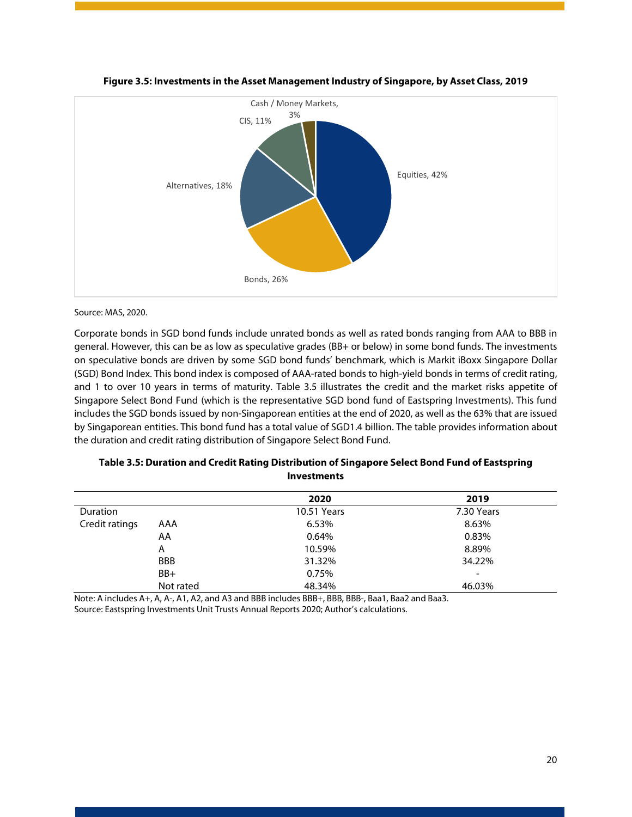<span id="page-20-1"></span>

#### **Figure 3.5: Investments in the Asset Management Industry of Singapore, by Asset Class, 2019**

#### Source: MAS, 2020.

Corporate bonds in SGD bond funds include unrated bonds as well as rated bonds ranging from AAA to BBB in general. However, this can be as low as speculative grades (BB+ or below) in some bond funds. The investments on speculative bonds are driven by some SGD bond funds' benchmark, which is Markit iBoxx Singapore Dollar (SGD) Bond Index. This bond index is composed of AAA-rated bonds to high-yield bonds in terms of credit rating, and 1 to over 10 years in terms of maturity. Table 3.5 illustrates the credit and the market risks appetite of Singapore Select Bond Fund (which is the representative SGD bond fund of Eastspring Investments). This fund includes the SGD bonds issued by non-Singaporean entities at the end of 2020, as well as the 63% that are issued by Singaporean entities. This bond fund has a total value of SGD1.4 billion. The table provides information about the duration and credit rating distribution of Singapore Select Bond Fund.

|                 |            | 2020               | 2019                     |
|-----------------|------------|--------------------|--------------------------|
| <b>Duration</b> |            | <b>10.51 Years</b> | 7.30 Years               |
| Credit ratings  | AAA        | 6.53%              | 8.63%                    |
|                 | AA         | 0.64%              | 0.83%                    |
|                 | A          | 10.59%             | 8.89%                    |
|                 | <b>BBB</b> | 31.32%             | 34.22%                   |
|                 | BB+        | 0.75%              | $\overline{\phantom{a}}$ |
|                 | Not rated  | 48.34%             | 46.03%                   |

<span id="page-20-0"></span>

| Table 3.5: Duration and Credit Rating Distribution of Singapore Select Bond Fund of Eastspring |
|------------------------------------------------------------------------------------------------|
| <b>Investments</b>                                                                             |

Note: A includes A+, A, A-, A1, A2, and A3 and BBB includes BBB+, BBB, BBB-, Baa1, Baa2 and Baa3. Source: Eastspring Investments Unit Trusts Annual Reports 2020; Author's calculations.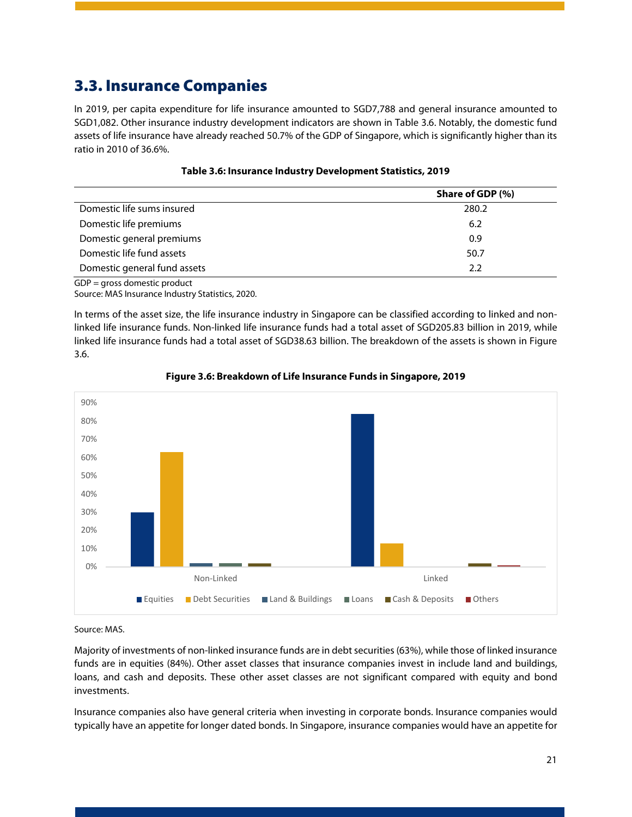## <span id="page-21-0"></span>3.3. Insurance Companies

In 2019, per capita expenditure for life insurance amounted to SGD7,788 and general insurance amounted to SGD1,082. Other insurance industry development indicators are shown in Table 3.6. Notably, the domestic fund assets of life insurance have already reached 50.7% of the GDP of Singapore, which is significantly higher than its ratio in 2010 of 36.6%.

<span id="page-21-1"></span>

|                              | Share of GDP (%) |
|------------------------------|------------------|
| Domestic life sums insured   | 280.2            |
| Domestic life premiums       | 6.2              |
| Domestic general premiums    | 0.9              |
| Domestic life fund assets    | 50.7             |
| Domestic general fund assets | 2.2              |

| Table 3.6: Insurance Industry Development Statistics, 2019 |  |  |
|------------------------------------------------------------|--|--|
|------------------------------------------------------------|--|--|

GDP = gross domestic product

Source: MAS Insurance Industry Statistics, 2020.

In terms of the asset size, the life insurance industry in Singapore can be classified according to linked and nonlinked life insurance funds. Non-linked life insurance funds had a total asset of SGD205.83 billion in 2019, while linked life insurance funds had a total asset of SGD38.63 billion. The breakdown of the assets is shown in Figure 3.6.

<span id="page-21-2"></span>

#### **Figure 3.6: Breakdown of Life Insurance Funds in Singapore, 2019**

#### Source: MAS.

Majority of investments of non-linked insurance funds are in debt securities(63%), while those of linked insurance funds are in equities (84%). Other asset classes that insurance companies invest in include land and buildings, loans, and cash and deposits. These other asset classes are not significant compared with equity and bond investments.

Insurance companies also have general criteria when investing in corporate bonds. Insurance companies would typically have an appetite for longer dated bonds. In Singapore, insurance companies would have an appetite for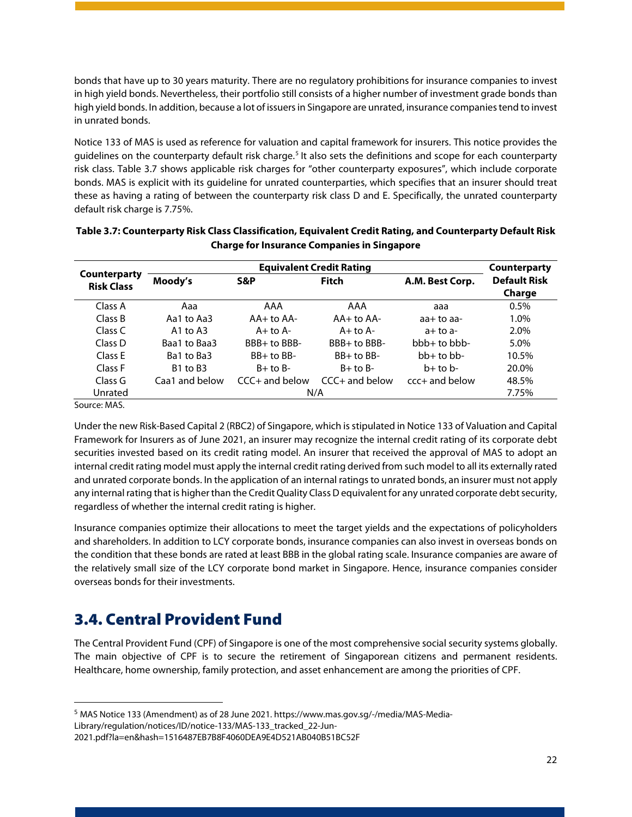bonds that have up to 30 years maturity. There are no regulatory prohibitions for insurance companies to invest in high yield bonds. Nevertheless, their portfolio still consists of a higher number of investment grade bonds than high yield bonds. In addition, because a lot of issuers in Singapore are unrated, insurance companies tend to invest in unrated bonds.

Notice 133 of MAS is used as reference for valuation and capital framework for insurers. This notice provides the guidelines on the counterparty default risk charge.<sup>[5](#page-22-2)</sup> It also sets the definitions and scope for each counterparty risk class. Table 3.7 shows applicable risk charges for "other counterparty exposures", which include corporate bonds. MAS is explicit with its guideline for unrated counterparties, which specifies that an insurer should treat these as having a rating of between the counterparty risk class D and E. Specifically, the unrated counterparty default risk charge is 7.75%.

|                                   |                                  | Counterparty        |                  |                  |                               |  |
|-----------------------------------|----------------------------------|---------------------|------------------|------------------|-------------------------------|--|
| Counterparty<br><b>Risk Class</b> | Moody's                          | <b>Fitch</b><br>S&P |                  | A.M. Best Corp.  | <b>Default Risk</b><br>Charge |  |
| Class A                           | Aaa                              | AAA                 | AAA              | aaa              | $0.5\%$                       |  |
| Class B                           | Aa1 to Aa3                       | $AA+$ to $AA-$      | $AA+$ to $AA-$   | $aa+toaa-$       | 1.0%                          |  |
| Class C                           | A <sub>1</sub> to A <sub>3</sub> | $A+$ to $A-$        | $A+$ to $A-$     | $a+$ to $a-$     | 2.0%                          |  |
| Class D                           | Baa1 to Baa3                     | BBB+ to BBB-        | $BBB+$ to $BBB-$ | $bb + to b$      | 5.0%                          |  |
| Class E                           | Ba1 to Ba3                       | $BB+$ to $BB-$      | $BB+$ to $BB-$   | $bb+$ to $bb-$   | 10.5%                         |  |
| Class F                           | <b>B1 to B3</b>                  | $B+$ to $B-$        | $B+$ to $B-$     | $h+$ to $h-$     | 20.0%                         |  |
| Class G                           | Caa1 and below                   | $CC +$ and below    | $CC +$ and below | $cc$ + and below | 48.5%                         |  |
| Unrated                           |                                  |                     | N/A              |                  | 7.75%                         |  |

<span id="page-22-1"></span>

| Table 3.7: Counterparty Risk Class Classification, Equivalent Credit Rating, and Counterparty Default Risk |
|------------------------------------------------------------------------------------------------------------|
| <b>Charge for Insurance Companies in Singapore</b>                                                         |

Source: MAS.

Under the new Risk-Based Capital 2 (RBC2) of Singapore, which isstipulated in Notice 133 of Valuation and Capital Framework for Insurers as of June 2021, an insurer may recognize the internal credit rating of its corporate debt securities invested based on its credit rating model. An insurer that received the approval of MAS to adopt an internal credit rating model must apply the internal credit rating derived from such model to all its externally rated and unrated corporate bonds. In the application of an internal ratings to unrated bonds, an insurer must not apply any internal rating that is higher than the Credit Quality Class D equivalent for any unrated corporate debt security, regardless of whether the internal credit rating is higher.

Insurance companies optimize their allocations to meet the target yields and the expectations of policyholders and shareholders. In addition to LCY corporate bonds, insurance companies can also invest in overseas bonds on the condition that these bonds are rated at least BBB in the global rating scale. Insurance companies are aware of the relatively small size of the LCY corporate bond market in Singapore. Hence, insurance companies consider overseas bonds for their investments.

## <span id="page-22-0"></span>3.4. Central Provident Fund

The Central Provident Fund (CPF) of Singapore is one of the most comprehensive social security systems globally. The main objective of CPF is to secure the retirement of Singaporean citizens and permanent residents. Healthcare, home ownership, family protection, and asset enhancement are among the priorities of CPF.

2021.pdf?la=en&hash=1516487EB7B8F4060DEA9E4D521AB040B51BC52F

<span id="page-22-2"></span><sup>5</sup> MAS Notice 133 (Amendment) as of 28 June 2021. https://www.mas.gov.sg/-/media/MAS-Media-Library/regulation/notices/ID/notice-133/MAS-133\_tracked\_22-Jun-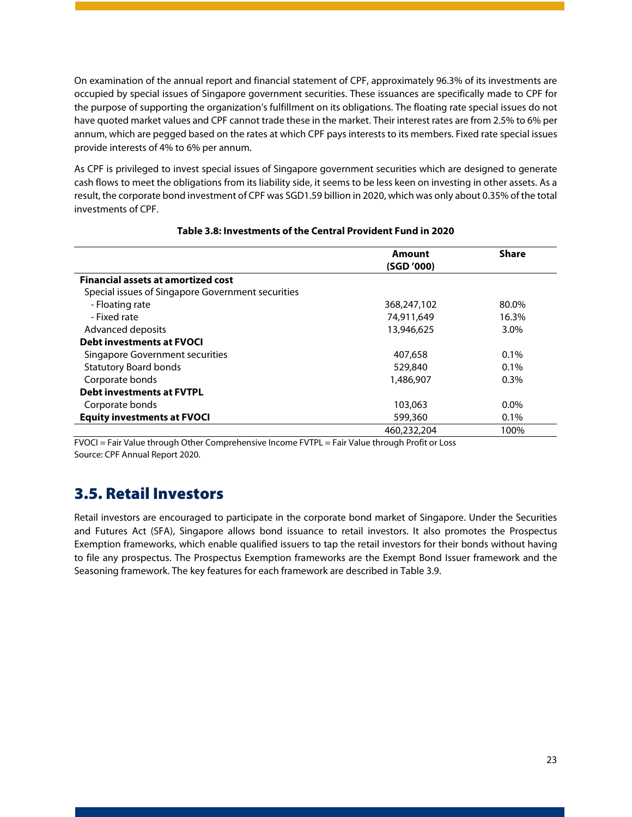On examination of the annual report and financial statement of CPF, approximately 96.3% of its investments are occupied by special issues of Singapore government securities. These issuances are specifically made to CPF for the purpose of supporting the organization's fulfillment on its obligations. The floating rate special issues do not have quoted market values and CPF cannot trade these in the market. Their interest rates are from 2.5% to 6% per annum, which are pegged based on the rates at which CPF pays interests to its members. Fixed rate special issues provide interests of 4% to 6% per annum.

As CPF is privileged to invest special issues of Singapore government securities which are designed to generate cash flows to meet the obligations from its liability side, it seems to be less keen on investing in other assets. As a result, the corporate bond investment of CPF was SGD1.59 billion in 2020, which was only about 0.35% of the total investments of CPF.

<span id="page-23-1"></span>

|                                                   | Amount      | <b>Share</b> |
|---------------------------------------------------|-------------|--------------|
|                                                   | (SGD '000)  |              |
| <b>Financial assets at amortized cost</b>         |             |              |
| Special issues of Singapore Government securities |             |              |
| - Floating rate                                   | 368,247,102 | 80.0%        |
| - Fixed rate                                      | 74,911,649  | 16.3%        |
| Advanced deposits                                 | 13,946,625  | 3.0%         |
| <b>Debt investments at FVOCI</b>                  |             |              |
| Singapore Government securities                   | 407,658     | $0.1\%$      |
| <b>Statutory Board bonds</b>                      | 529,840     | 0.1%         |
| Corporate bonds                                   | 1,486,907   | $0.3\%$      |
| <b>Debt investments at FVTPL</b>                  |             |              |
| Corporate bonds                                   | 103,063     | $0.0\%$      |
| <b>Equity investments at FVOCI</b>                | 599,360     | $0.1\%$      |
|                                                   | 460.232.204 | 100%         |

#### **Table 3.8: Investments of the Central Provident Fund in 2020**

FVOCI = Fair Value through Other Comprehensive Income FVTPL = Fair Value through Profit or Loss Source: CPF Annual Report 2020.

### <span id="page-23-0"></span>3.5. Retail Investors

Retail investors are encouraged to participate in the corporate bond market of Singapore. Under the Securities and Futures Act (SFA), Singapore allows bond issuance to retail investors. It also promotes the Prospectus Exemption frameworks, which enable qualified issuers to tap the retail investors for their bonds without having to file any prospectus. The Prospectus Exemption frameworks are the Exempt Bond Issuer framework and the Seasoning framework. The key features for each framework are described in Table 3.9.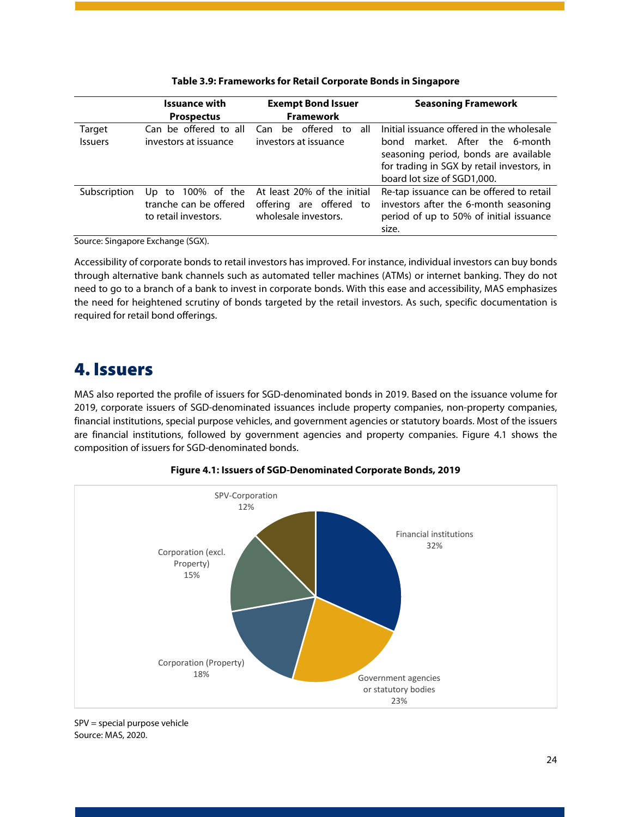<span id="page-24-1"></span>

|                | <b>Issuance with</b>                                                   | <b>Exempt Bond Issuer</b>                                                      | <b>Seasoning Framework</b>                                                                                                                              |
|----------------|------------------------------------------------------------------------|--------------------------------------------------------------------------------|---------------------------------------------------------------------------------------------------------------------------------------------------------|
|                | <b>Prospectus</b>                                                      | <b>Framework</b>                                                               |                                                                                                                                                         |
| Target         | Can be offered to all                                                  | offered<br>to<br>all<br>Can<br>be.                                             | Initial issuance offered in the wholesale                                                                                                               |
| <b>Issuers</b> | investors at issuance                                                  | investors at issuance                                                          | market. After the 6-month<br>bond<br>seasoning period, bonds are available<br>for trading in SGX by retail investors, in<br>board lot size of SGD1,000. |
| Subscription   | 100% of the<br>Up to<br>tranche can be offered<br>to retail investors. | At least 20% of the initial<br>offering are offered to<br>wholesale investors. | Re-tap issuance can be offered to retail<br>investors after the 6-month seasoning<br>period of up to 50% of initial issuance<br>size.                   |

#### **Table 3.9: Frameworks for Retail Corporate Bonds in Singapore**

Source: Singapore Exchange (SGX).

Accessibility of corporate bonds to retail investors has improved. For instance, individual investors can buy bonds through alternative bank channels such as automated teller machines (ATMs) or internet banking. They do not need to go to a branch of a bank to invest in corporate bonds. With this ease and accessibility, MAS emphasizes the need for heightened scrutiny of bonds targeted by the retail investors. As such, specific documentation is required for retail bond offerings.

## <span id="page-24-0"></span>4. Issuers

MAS also reported the profile of issuers for SGD-denominated bonds in 2019. Based on the issuance volume for 2019, corporate issuers of SGD-denominated issuances include property companies, non-property companies, financial institutions, special purpose vehicles, and government agencies or statutory boards. Most of the issuers are financial institutions, followed by government agencies and property companies. Figure 4.1 shows the composition of issuers for SGD-denominated bonds.

<span id="page-24-2"></span>

#### **Figure 4.1: Issuers of SGD-Denominated Corporate Bonds, 2019**

SPV = special purpose vehicle Source: MAS, 2020.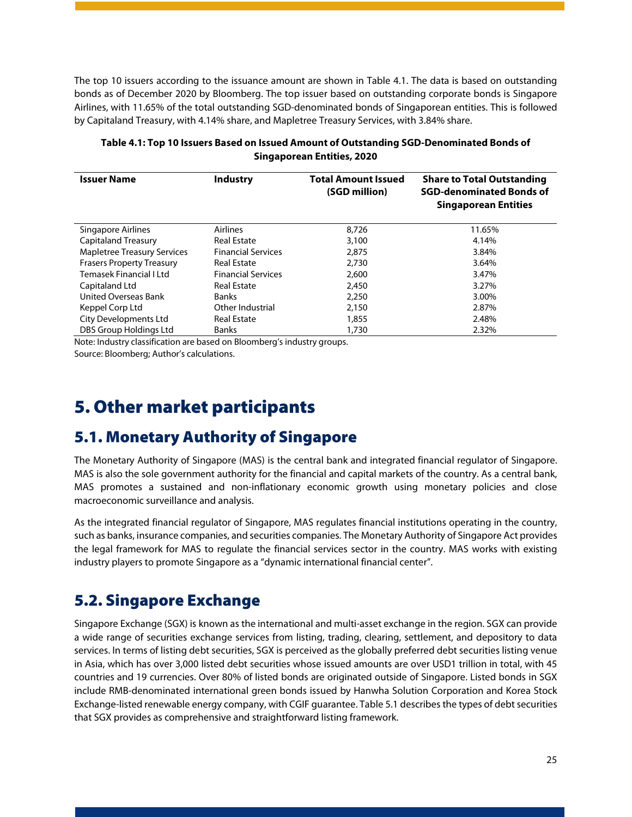The top 10 issuers according to the issuance amount are shown in Table 4.1. The data is based on outstanding bonds as of December 2020 by Bloomberg. The top issuer based on outstanding corporate bonds is Singapore Airlines, with 11.65% of the total outstanding SGD-denominated bonds of Singaporean entities. This is followed by Capitaland Treasury, with 4.14% share, and Mapletree Treasury Services, with 3.84% share.

| <b>Issuer Name</b>                 | <b>Industry</b>           | <b>Total Amount Issued</b><br>(SGD million) | <b>Share to Total Outstanding</b><br><b>SGD-denominated Bonds of</b><br><b>Singaporean Entities</b> |
|------------------------------------|---------------------------|---------------------------------------------|-----------------------------------------------------------------------------------------------------|
| Singapore Airlines                 | Airlines                  | 8,726                                       | 11.65%                                                                                              |
| <b>Capitaland Treasury</b>         | <b>Real Estate</b>        | 3,100                                       | 4.14%                                                                                               |
| <b>Mapletree Treasury Services</b> | <b>Financial Services</b> | 2,875                                       | 3.84%                                                                                               |
| <b>Frasers Property Treasury</b>   | <b>Real Estate</b>        | 2,730                                       | 3.64%                                                                                               |
| Temasek Financial I Ltd            | <b>Financial Services</b> | 2,600                                       | 3.47%                                                                                               |
| Capitaland Ltd                     | <b>Real Estate</b>        | 2,450                                       | 3.27%                                                                                               |
| United Overseas Bank               | <b>Banks</b>              | 2,250                                       | 3.00%                                                                                               |
| Keppel Corp Ltd                    | Other Industrial          | 2,150                                       | 2.87%                                                                                               |
| <b>City Developments Ltd</b>       | <b>Real Estate</b>        | 1,855                                       | 2.48%                                                                                               |
| DBS Group Holdings Ltd             | <b>Banks</b>              | 1,730                                       | 2.32%                                                                                               |

#### <span id="page-25-3"></span>**Table 4.1: Top 10 Issuers Based on Issued Amount of Outstanding SGD-Denominated Bonds of Singaporean Entities, 2020**

Note: Industry classification are based on Bloomberg's industry groups.

Source: Bloomberg; Author's calculations.

# <span id="page-25-0"></span>5. Other market participants

## <span id="page-25-1"></span>5.1. Monetary Authority of Singapore

The Monetary Authority of Singapore (MAS) is the central bank and integrated financial regulator of Singapore. MAS is also the sole government authority for the financial and capital markets of the country. As a central bank, MAS promotes a sustained and non-inflationary economic growth using monetary policies and close macroeconomic surveillance and analysis.

As the integrated financial regulator of Singapore, MAS regulates financial institutions operating in the country, such as banks, insurance companies, and securities companies. The Monetary Authority of Singapore Act provides the legal framework for MAS to regulate the financial services sector in the country. MAS works with existing industry players to promote Singapore as a "dynamic international financial center".

## <span id="page-25-2"></span>5.2. Singapore Exchange

Singapore Exchange (SGX) is known as the international and multi-asset exchange in the region. SGX can provide a wide range of securities exchange services from listing, trading, clearing, settlement, and depository to data services. In terms of listing debt securities, SGX is perceived as the globally preferred debt securities listing venue in Asia, which has over 3,000 listed debt securities whose issued amounts are over USD1 trillion in total, with 45 countries and 19 currencies. Over 80% of listed bonds are originated outside of Singapore. Listed bonds in SGX include RMB-denominated international green bonds issued by Hanwha Solution Corporation and Korea Stock Exchange-listed renewable energy company, with CGIF guarantee. Table 5.1 describes the types of debt securities that SGX provides as comprehensive and straightforward listing framework.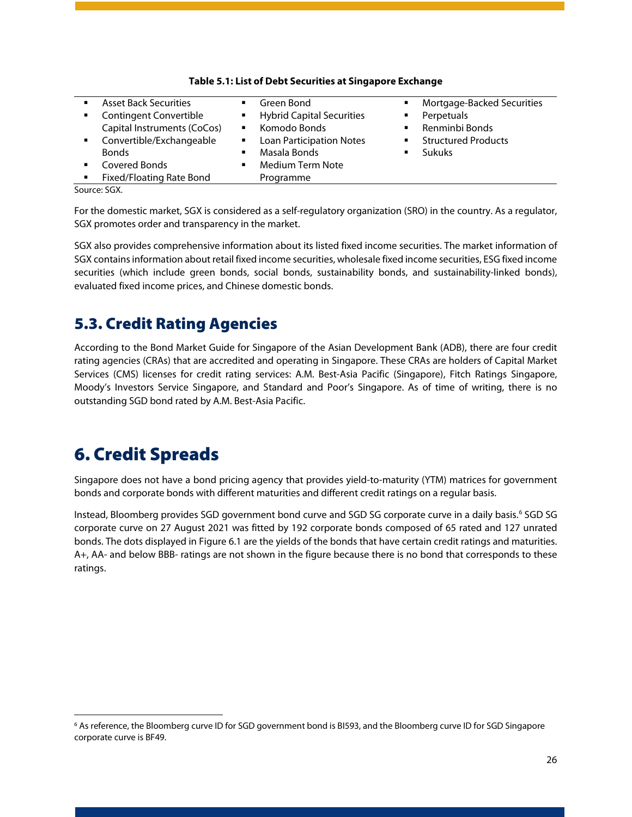<span id="page-26-2"></span>

| ٠              | <b>Asset Back Securities</b>    |                | Green Bond                       | ٠              | Mortgage-Backed Securities |  |
|----------------|---------------------------------|----------------|----------------------------------|----------------|----------------------------|--|
| $\blacksquare$ | <b>Contingent Convertible</b>   | $\blacksquare$ | <b>Hybrid Capital Securities</b> | ٠              | Perpetuals                 |  |
|                | Capital Instruments (CoCos)     | $\blacksquare$ | Komodo Bonds                     | ٠              | Renminbi Bonds             |  |
| $\mathbf{r}$   | Convertible/Exchangeable        | $\blacksquare$ | <b>Loan Participation Notes</b>  | $\blacksquare$ | <b>Structured Products</b> |  |
|                | <b>Bonds</b>                    | ٠              | Masala Bonds                     | ٠              | <b>Sukuks</b>              |  |
| $\blacksquare$ | Covered Bonds                   |                | <b>Medium Term Note</b>          |                |                            |  |
| ٠              | <b>Fixed/Floating Rate Bond</b> |                | Programme                        |                |                            |  |
|                | $\sim$ $\sim$ $\sim$            |                |                                  |                |                            |  |

#### **Table 5.1: List of Debt Securities at Singapore Exchange**

Source: SGX.

For the domestic market, SGX is considered as a self-regulatory organization (SRO) in the country. As a regulator, SGX promotes order and transparency in the market.

SGX also provides comprehensive information about its listed fixed income securities. The market information of SGX contains information about retail fixed income securities, wholesale fixed income securities, ESG fixed income securities (which include green bonds, social bonds, sustainability bonds, and sustainability-linked bonds), evaluated fixed income prices, and Chinese domestic bonds.

## <span id="page-26-0"></span>5.3. Credit Rating Agencies

According to the Bond Market Guide for Singapore of the Asian Development Bank (ADB), there are four credit rating agencies (CRAs) that are accredited and operating in Singapore. These CRAs are holders of Capital Market Services (CMS) licenses for credit rating services: A.M. Best-Asia Pacific (Singapore), Fitch Ratings Singapore, Moody's Investors Service Singapore, and Standard and Poor's Singapore. As of time of writing, there is no outstanding SGD bond rated by A.M. Best-Asia Pacific.

# <span id="page-26-1"></span>6. Credit Spreads

Singapore does not have a bond pricing agency that provides yield-to-maturity (YTM) matrices for government bonds and corporate bonds with different maturities and different credit ratings on a regular basis.

Instead, Bloomberg provides SGD government bond curve and SGD SG corporate curve in a daily basis. [6](#page-26-3) SGD SG corporate curve on 27 August 2021 was fitted by 192 corporate bonds composed of 65 rated and 127 unrated bonds. The dots displayed in Figure 6.1 are the yields of the bonds that have certain credit ratings and maturities. A+, AA- and below BBB- ratings are not shown in the figure because there is no bond that corresponds to these ratings.

<span id="page-26-3"></span><sup>6</sup> As reference, the Bloomberg curve ID for SGD government bond is BI593, and the Bloomberg curve ID for SGD Singapore corporate curve is BF49.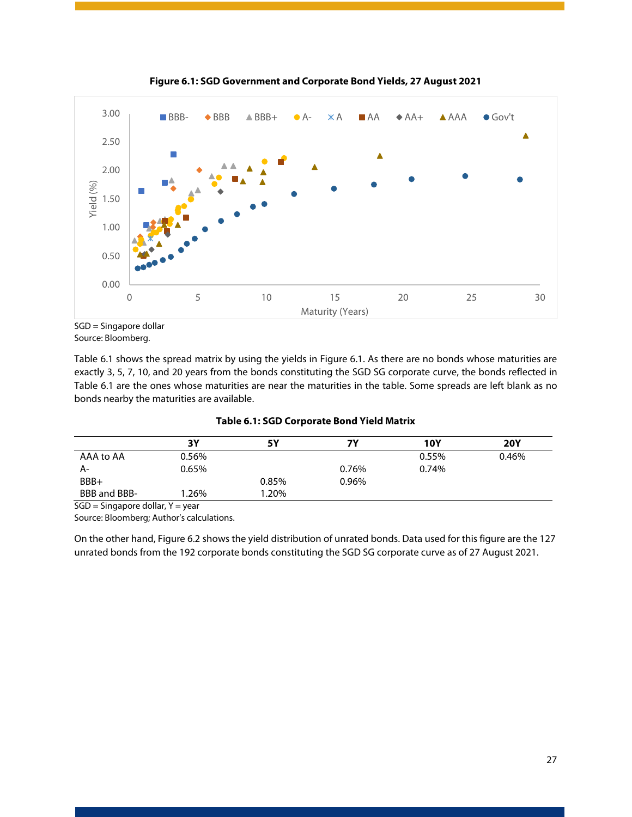<span id="page-27-1"></span>

**Figure 6.1: SGD Government and Corporate Bond Yields, 27 August 2021**

Table 6.1 shows the spread matrix by using the yields in Figure 6.1. As there are no bonds whose maturities are exactly 3, 5, 7, 10, and 20 years from the bonds constituting the SGD SG corporate curve, the bonds reflected in Table 6.1 are the ones whose maturities are near the maturities in the table. Some spreads are left blank as no bonds nearby the maturities are available.

|  | <b>Table 6.1: SGD Corporate Bond Yield Matrix</b> |  |
|--|---------------------------------------------------|--|
|--|---------------------------------------------------|--|

<span id="page-27-0"></span>

|              | 3Y    | <b>5Y</b> | 7Υ    | <b>10Y</b> | <b>20Y</b> |
|--------------|-------|-----------|-------|------------|------------|
| AAA to AA    | 0.56% |           |       | 0.55%      | 0.46%      |
| А-           | 0.65% |           | 0.76% | 0.74%      |            |
| BBB+         |       | 0.85%     | 0.96% |            |            |
| BBB and BBB- | .26%  | 20%. ا    |       |            |            |

 $SGD =$  Singapore dollar,  $Y =$  year

Source: Bloomberg; Author's calculations.

On the other hand, Figure 6.2 shows the yield distribution of unrated bonds. Data used for this figure are the 127 unrated bonds from the 192 corporate bonds constituting the SGD SG corporate curve as of 27 August 2021.

SGD = Singapore dollar Source: Bloomberg.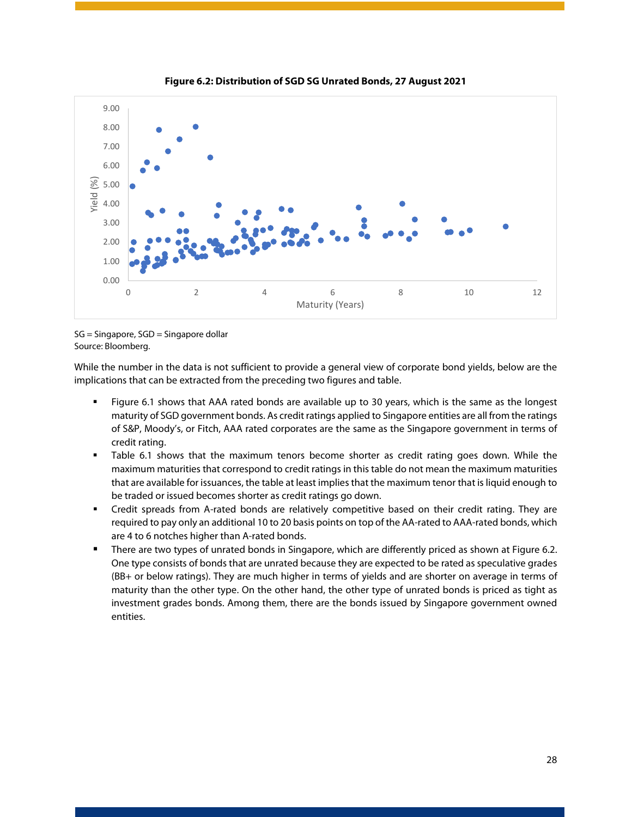<span id="page-28-0"></span>

**Figure 6.2: Distribution of SGD SG Unrated Bonds, 27 August 2021**

While the number in the data is not sufficient to provide a general view of corporate bond yields, below are the implications that can be extracted from the preceding two figures and table.

- Figure 6.1 shows that AAA rated bonds are available up to 30 years, which is the same as the longest maturity of SGD government bonds. As credit ratings applied to Singapore entities are all from the ratings of S&P, Moody's, or Fitch, AAA rated corporates are the same as the Singapore government in terms of credit rating.
- Table 6.1 shows that the maximum tenors become shorter as credit rating goes down. While the maximum maturities that correspond to credit ratings in this table do not mean the maximum maturities that are available for issuances, the table at least impliesthat the maximum tenor that is liquid enough to be traded or issued becomes shorter as credit ratings go down.
- Credit spreads from A-rated bonds are relatively competitive based on their credit rating. They are required to pay only an additional 10 to 20 basis points on top of the AA-rated to AAA-rated bonds, which are 4 to 6 notches higher than A-rated bonds.
- There are two types of unrated bonds in Singapore, which are differently priced as shown at Figure 6.2. One type consists of bonds that are unrated because they are expected to be rated as speculative grades (BB+ or below ratings). They are much higher in terms of yields and are shorter on average in terms of maturity than the other type. On the other hand, the other type of unrated bonds is priced as tight as investment grades bonds. Among them, there are the bonds issued by Singapore government owned entities.

SG = Singapore, SGD = Singapore dollar Source: Bloomberg.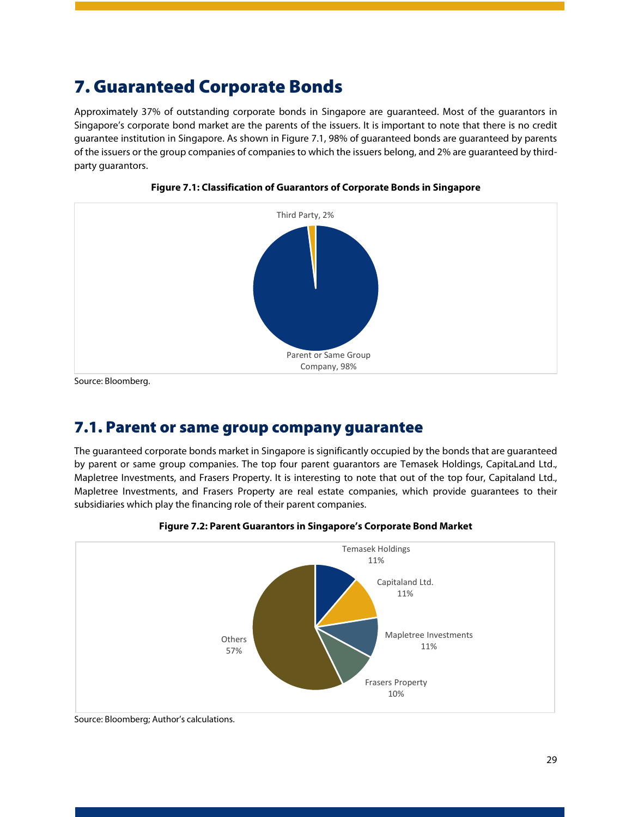# <span id="page-29-0"></span>7. Guaranteed Corporate Bonds

Approximately 37% of outstanding corporate bonds in Singapore are guaranteed. Most of the guarantors in Singapore's corporate bond market are the parents of the issuers. It is important to note that there is no credit guarantee institution in Singapore. As shown in Figure 7.1, 98% of guaranteed bonds are guaranteed by parents of the issuers or the group companies of companies to which the issuers belong, and 2% are guaranteed by thirdparty guarantors.

<span id="page-29-2"></span>



Source: Bloomberg.

### <span id="page-29-1"></span>7.1. Parent or same group company guarantee

The guaranteed corporate bonds market in Singapore is significantly occupied by the bonds that are guaranteed by parent or same group companies. The top four parent guarantors are Temasek Holdings, CapitaLand Ltd., Mapletree Investments, and Frasers Property. It is interesting to note that out of the top four, Capitaland Ltd., Mapletree Investments, and Frasers Property are real estate companies, which provide guarantees to their subsidiaries which play the financing role of their parent companies.

<span id="page-29-3"></span>



Source: Bloomberg; Author's calculations.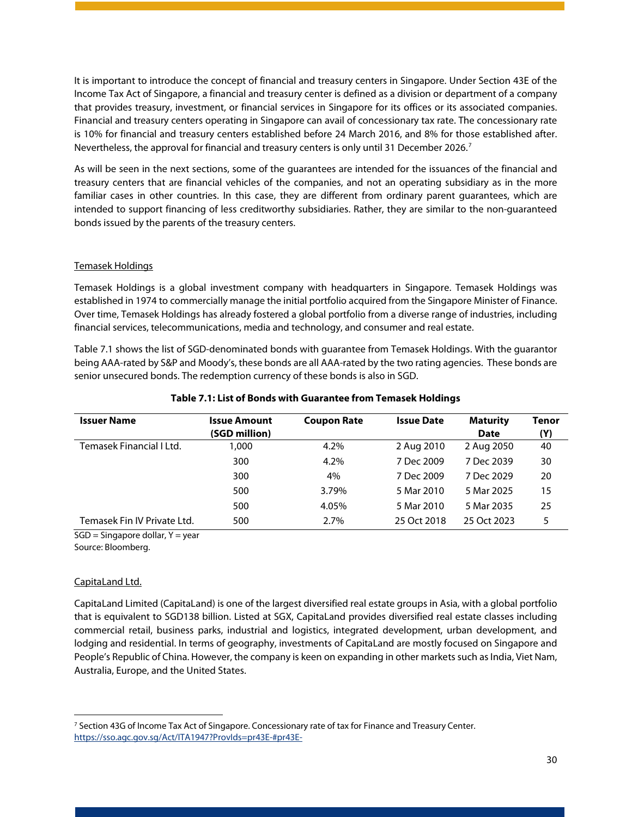It is important to introduce the concept of financial and treasury centers in Singapore. Under Section 43E of the Income Tax Act of Singapore, a financial and treasury center is defined as a division or department of a company that provides treasury, investment, or financial services in Singapore for its offices or its associated companies. Financial and treasury centers operating in Singapore can avail of concessionary tax rate. The concessionary rate is 10% for financial and treasury centers established before 24 March 2016, and 8% for those established after. Nevertheless, the approval for financial and treasury centers is only until 31 December 2026.<sup>[7](#page-30-1)</sup>

As will be seen in the next sections, some of the guarantees are intended for the issuances of the financial and treasury centers that are financial vehicles of the companies, and not an operating subsidiary as in the more familiar cases in other countries. In this case, they are different from ordinary parent guarantees, which are intended to support financing of less creditworthy subsidiaries. Rather, they are similar to the non-guaranteed bonds issued by the parents of the treasury centers.

#### Temasek Holdings

Temasek Holdings is a global investment company with headquarters in Singapore. Temasek Holdings was established in 1974 to commercially manage the initial portfolio acquired from the Singapore Minister of Finance. Over time, Temasek Holdings has already fostered a global portfolio from a diverse range of industries, including financial services, telecommunications, media and technology, and consumer and real estate.

Table 7.1 shows the list of SGD-denominated bonds with guarantee from Temasek Holdings. With the guarantor being AAA-rated by S&P and Moody's, these bonds are all AAA-rated by the two rating agencies. These bonds are senior unsecured bonds. The redemption currency of these bonds is also in SGD.

<span id="page-30-0"></span>

| <b>Issuer Name</b>          | <b>Issue Amount</b><br>(SGD million) | <b>Coupon Rate</b> | <b>Issue Date</b> | <b>Maturity</b><br>Date | Tenor<br>(Y) |
|-----------------------------|--------------------------------------|--------------------|-------------------|-------------------------|--------------|
| Temasek Financial I Ltd.    | 1.000                                | 4.2%               | 2 Aug 2010        | 2 Aug 2050              | 40           |
|                             | 300                                  | 4.2%               | 7 Dec 2009        | 7 Dec 2039              | 30           |
|                             | 300                                  | 4%                 | 7 Dec 2009        | 7 Dec 2029              | 20           |
|                             | 500                                  | 3.79%              | 5 Mar 2010        | 5 Mar 2025              | 15           |
|                             | 500                                  | 4.05%              | 5 Mar 2010        | 5 Mar 2035              | 25           |
| Temasek Fin IV Private Ltd. | 500                                  | 2.7%               | 25 Oct 2018       | 25 Oct 2023             | 5            |

#### **Table 7.1: List of Bonds with Guarantee from Temasek Holdings**

 $SGD =$  Singapore dollar,  $Y =$  year

Source: Bloomberg.

#### CapitaLand Ltd.

CapitaLand Limited (CapitaLand) is one of the largest diversified real estate groups in Asia, with a global portfolio that is equivalent to SGD138 billion. Listed at SGX, CapitaLand provides diversified real estate classes including commercial retail, business parks, industrial and logistics, integrated development, urban development, and lodging and residential. In terms of geography, investments of CapitaLand are mostly focused on Singapore and People's Republic of China. However, the company is keen on expanding in other markets such as India, Viet Nam, Australia, Europe, and the United States.

<span id="page-30-1"></span><sup>7</sup> Section 43G of Income Tax Act of Singapore. Concessionary rate of tax for Finance and Treasury Center. <https://sso.agc.gov.sg/Act/ITA1947?ProvIds=pr43E-#pr43E->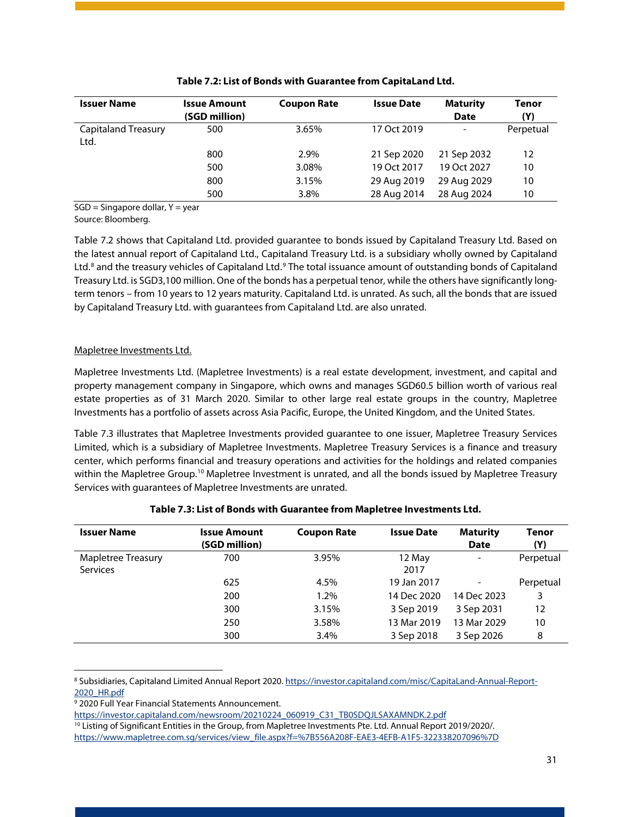<span id="page-31-0"></span>

| <b>Issuer Name</b>                 | <b>Issue Amount</b><br>(SGD million) | <b>Coupon Rate</b> | <b>Issue Date</b> | <b>Maturity</b><br><b>Date</b> | Tenor<br>(Y) |
|------------------------------------|--------------------------------------|--------------------|-------------------|--------------------------------|--------------|
| <b>Capitaland Treasury</b><br>Ltd. | 500                                  | 3.65%              | 17 Oct 2019       | $\overline{\phantom{a}}$       | Perpetual    |
|                                    | 800                                  | 2.9%               | 21 Sep 2020       | 21 Sep 2032                    | 12           |
|                                    | 500                                  | 3.08%              | 19 Oct 2017       | 19 Oct 2027                    | 10           |
|                                    | 800                                  | 3.15%              | 29 Aug 2019       | 29 Aug 2029                    | 10           |
|                                    | 500                                  | 3.8%               | 28 Aug 2014       | 28 Aug 2024                    | 10           |

| Table 7.2: List of Bonds with Guarantee from CapitaLand Ltd. |  |
|--------------------------------------------------------------|--|
|--------------------------------------------------------------|--|

 $SGD =$  Singapore dollar,  $Y = year$ 

Source: Bloomberg.

Table 7.2 shows that Capitaland Ltd. provided guarantee to bonds issued by Capitaland Treasury Ltd. Based on the latest annual report of Capitaland Ltd., Capitaland Treasury Ltd. is a subsidiary wholly owned by Capitaland Ltd.<sup>[8](#page-31-2)</sup> and the treasury vehicles of Capitaland Ltd.<sup>[9](#page-31-3)</sup> The total issuance amount of outstanding bonds of Capitaland Treasury Ltd. is SGD3,100 million. One of the bonds has a perpetual tenor, while the others have significantly longterm tenors – from 10 years to 12 years maturity. Capitaland Ltd. is unrated. As such, all the bonds that are issued by Capitaland Treasury Ltd. with guarantees from Capitaland Ltd. are also unrated.

#### Mapletree Investments Ltd.

Mapletree Investments Ltd. (Mapletree Investments) is a real estate development, investment, and capital and property management company in Singapore, which owns and manages SGD60.5 billion worth of various real estate properties as of 31 March 2020. Similar to other large real estate groups in the country, Mapletree Investments has a portfolio of assets across Asia Pacific, Europe, the United Kingdom, and the United States.

Table 7.3 illustrates that Mapletree Investments provided guarantee to one issuer, Mapletree Treasury Services Limited, which is a subsidiary of Mapletree Investments. Mapletree Treasury Services is a finance and treasury center, which performs financial and treasury operations and activities for the holdings and related companies within the Mapletree Group.<sup>[10](#page-31-4)</sup> Mapletree Investment is unrated, and all the bonds issued by Mapletree Treasury Services with guarantees of Mapletree Investments are unrated.

<span id="page-31-1"></span>

| <b>Issuer Name</b> | <b>Issue Amount</b><br>(SGD million) | <b>Coupon Rate</b> | <b>Issue Date</b> | <b>Maturity</b><br><b>Date</b> | Tenor<br>(Y) |
|--------------------|--------------------------------------|--------------------|-------------------|--------------------------------|--------------|
| Mapletree Treasury | 700                                  | 3.95%              | 12 May            | $\overline{\phantom{a}}$       | Perpetual    |
| <b>Services</b>    |                                      |                    | 2017              |                                |              |
|                    | 625                                  | 4.5%               | 19 Jan 2017       |                                | Perpetual    |
|                    | 200                                  | 1.2%               | 14 Dec 2020       | 14 Dec 2023                    | 3            |
|                    | 300                                  | 3.15%              | 3 Sep 2019        | 3 Sep 2031                     | 12           |
|                    | 250                                  | 3.58%              | 13 Mar 2019       | 13 Mar 2029                    | 10           |
|                    | 300                                  | 3.4%               | 3 Sep 2018        | 3 Sep 2026                     | 8            |

#### **Table 7.3: List of Bonds with Guarantee from Mapletree Investments Ltd.**

<span id="page-31-2"></span><sup>8</sup> Subsidiaries, Capitaland Limited Annual Report 2020[. https://investor.capitaland.com/misc/CapitaLand-Annual-Report-](https://investor.capitaland.com/misc/CapitaLand-Annual-Report-2020_HR.pdf)[2020\\_HR.pdf](https://investor.capitaland.com/misc/CapitaLand-Annual-Report-2020_HR.pdf)

<span id="page-31-3"></span><sup>9</sup> 2020 Full Year Financial Statements Announcement.

[https://investor.capitaland.com/newsroom/20210224\\_060919\\_C31\\_TB0SDQJLSAXAMNDK.2.pdf](https://investor.capitaland.com/newsroom/20210224_060919_C31_TB0SDQJLSAXAMNDK.2.pdf)

<span id="page-31-4"></span><sup>&</sup>lt;sup>10</sup> Listing of Significant Entities in the Group, from Mapletree Investments Pte. Ltd. Annual Report 2019/2020/. [https://www.mapletree.com.sg/services/view\\_file.aspx?f=%7B556A208F-EAE3-4EFB-A1F5-322338207096%7D](https://www.mapletree.com.sg/services/view_file.aspx?f=%7B556A208F-EAE3-4EFB-A1F5-322338207096%7D)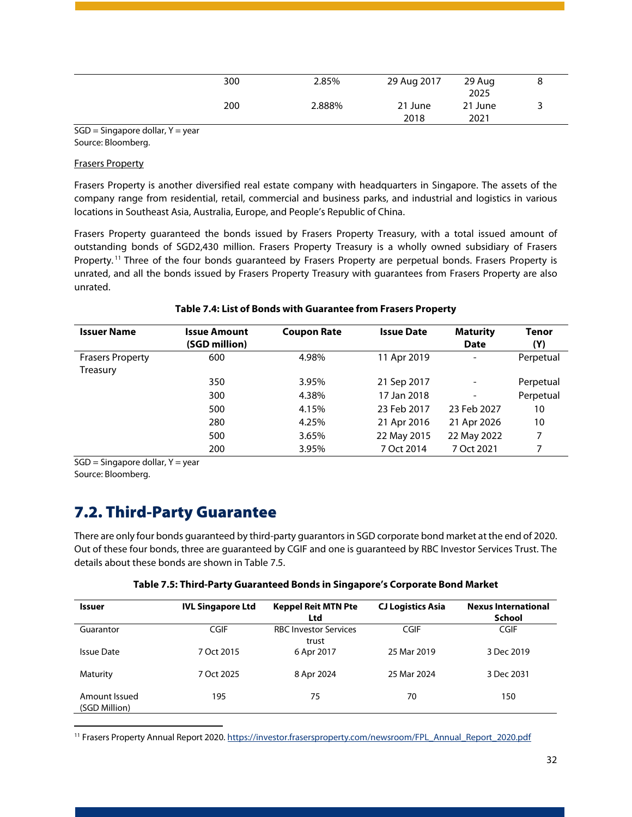| 300 | 2.85%  | 29 Aug 2017     | 29 Aug<br>2025  |  |
|-----|--------|-----------------|-----------------|--|
| 200 | 2.888% | 21 June<br>2018 | 21 June<br>2021 |  |

 $SGD =$  Singapore dollar,  $Y =$  year Source: Bloomberg.

#### Frasers Property

Frasers Property is another diversified real estate company with headquarters in Singapore. The assets of the company range from residential, retail, commercial and business parks, and industrial and logistics in various locations in Southeast Asia, Australia, Europe, and People's Republic of China.

Frasers Property guaranteed the bonds issued by Frasers Property Treasury, with a total issued amount of outstanding bonds of SGD2,430 million. Frasers Property Treasury is a wholly owned subsidiary of Frasers Property.<sup>[11](#page-32-3)</sup> Three of the four bonds guaranteed by Frasers Property are perpetual bonds. Frasers Property is unrated, and all the bonds issued by Frasers Property Treasury with guarantees from Frasers Property are also unrated.

<span id="page-32-1"></span>

| <b>Issuer Name</b>      | <b>Issue Amount</b> | <b>Coupon Rate</b> | <b>Issue Date</b> | <b>Maturity</b>          | Tenor     |
|-------------------------|---------------------|--------------------|-------------------|--------------------------|-----------|
|                         | (SGD million)       |                    |                   | <b>Date</b>              | (Y)       |
| <b>Frasers Property</b> | 600                 | 4.98%              | 11 Apr 2019       | $\overline{\phantom{a}}$ | Perpetual |
| Treasury                |                     |                    |                   |                          |           |
|                         | 350                 | 3.95%              | 21 Sep 2017       | $\overline{\phantom{a}}$ | Perpetual |
|                         | 300                 | 4.38%              | 17 Jan 2018       | $\overline{\phantom{a}}$ | Perpetual |
|                         | 500                 | 4.15%              | 23 Feb 2017       | 23 Feb 2027              | 10        |
|                         | 280                 | 4.25%              | 21 Apr 2016       | 21 Apr 2026              | 10        |
|                         | 500                 | 3.65%              | 22 May 2015       | 22 May 2022              | 7         |
|                         | 200                 | 3.95%              | 7 Oct 2014        | 7 Oct 2021               | 7         |

#### **Table 7.4: List of Bonds with Guarantee from Frasers Property**

 $SGD =$  Singapore dollar,  $Y =$  year

Source: Bloomberg.

### <span id="page-32-0"></span>7.2. Third-Party Guarantee

There are only four bonds guaranteed by third-party guarantors in SGD corporate bond market at the end of 2020. Out of these four bonds, three are guaranteed by CGIF and one is guaranteed by RBC Investor Services Trust. The details about these bonds are shown in Table 7.5.

| Table 7.5: Third-Party Guaranteed Bonds in Singapore's Corporate Bond Market |  |
|------------------------------------------------------------------------------|--|
|                                                                              |  |

<span id="page-32-2"></span>

| <b>Issuer</b>                  | <b>IVL Singapore Ltd</b> | <b>Keppel Reit MTN Pte</b><br>Ltd     | <b>CJ Logistics Asia</b> | <b>Nexus International</b><br>School |
|--------------------------------|--------------------------|---------------------------------------|--------------------------|--------------------------------------|
| Guarantor                      | <b>CGIF</b>              | <b>RBC Investor Services</b><br>trust | CGIF                     | <b>CGIF</b>                          |
| Issue Date                     | 7 Oct 2015               | 6 Apr 2017                            | 25 Mar 2019              | 3 Dec 2019                           |
| Maturity                       | 7 Oct 2025               | 8 Apr 2024                            | 25 Mar 2024              | 3 Dec 2031                           |
| Amount Issued<br>(SGD Million) | 195                      | 75                                    | 70                       | 150                                  |

<span id="page-32-3"></span><sup>11</sup> Frasers Property Annual Report 2020[. https://investor.frasersproperty.com/newsroom/FPL\\_Annual\\_Report\\_2020.pdf](https://investor.frasersproperty.com/newsroom/FPL_Annual_Report_2020.pdf)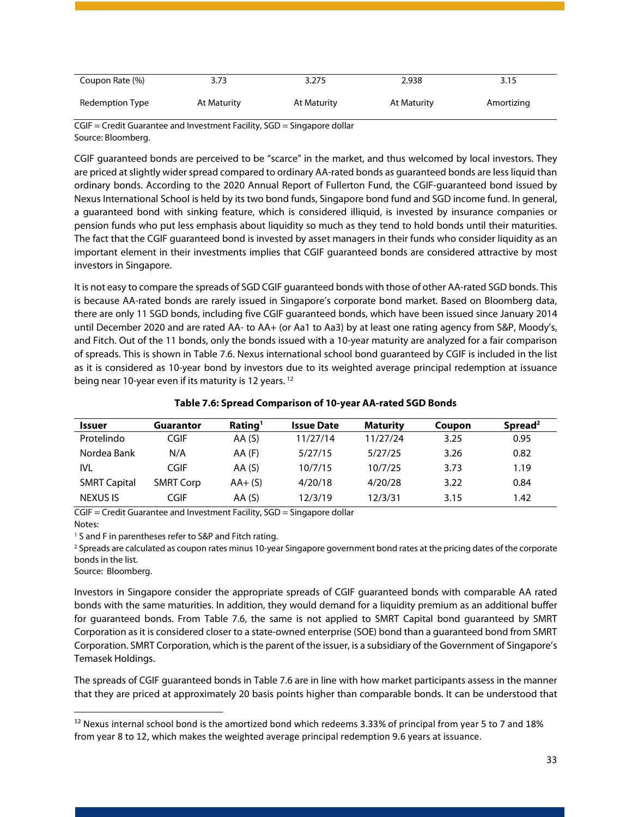| Coupon Rate (%) | 3.73        | 3.275       | 2.938       | 3.15       |
|-----------------|-------------|-------------|-------------|------------|
| Redemption Type | At Maturity | At Maturity | At Maturity | Amortizing |

CGIF = Credit Guarantee and Investment Facility, SGD = Singapore dollar Source: Bloomberg.

CGIF guaranteed bonds are perceived to be "scarce" in the market, and thus welcomed by local investors. They are priced at slightly wider spread compared to ordinary AA-rated bonds as guaranteed bonds are less liquid than ordinary bonds. According to the 2020 Annual Report of Fullerton Fund, the CGIF-guaranteed bond issued by Nexus International School is held by its two bond funds, Singapore bond fund and SGD income fund. In general, a guaranteed bond with sinking feature, which is considered illiquid, is invested by insurance companies or pension funds who put less emphasis about liquidity so much as they tend to hold bonds until their maturities. The fact that the CGIF guaranteed bond is invested by asset managers in their funds who consider liquidity as an important element in their investments implies that CGIF guaranteed bonds are considered attractive by most investors in Singapore.

It is not easy to compare the spreads of SGD CGIF guaranteed bonds with those of other AA-rated SGD bonds. This is because AA-rated bonds are rarely issued in Singapore's corporate bond market. Based on Bloomberg data, there are only 11 SGD bonds, including five CGIF guaranteed bonds, which have been issued since January 2014 until December 2020 and are rated AA- to AA+ (or Aa1 to Aa3) by at least one rating agency from S&P, Moody's, and Fitch. Out of the 11 bonds, only the bonds issued with a 10-year maturity are analyzed for a fair comparison of spreads. This is shown in Table 7.6. Nexus international school bond guaranteed by CGIF is included in the list as it is considered as 10-year bond by investors due to its weighted average principal redemption at issuance being near 10-year even if its maturity is [12](#page-33-1) years.<sup>12</sup>

<span id="page-33-0"></span>

| <b>Issuer</b>       | <b>Guarantor</b> | Rating <sup>1</sup> | <b>Issue Date</b> | <b>Maturity</b> | Coupon | Spread <sup>2</sup> |
|---------------------|------------------|---------------------|-------------------|-----------------|--------|---------------------|
| Protelindo          | CGIF             | AA(S)               | 11/27/14          | 11/27/24        | 3.25   | 0.95                |
| Nordea Bank         | N/A              | $AA$ (F)            | 5/27/15           | 5/27/25         | 3.26   | 0.82                |
| IVL                 | CGIF             | AA(S)               | 10/7/15           | 10/7/25         | 3.73   | 1.19                |
| <b>SMRT Capital</b> | <b>SMRT Corp</b> | $AA+(S)$            | 4/20/18           | 4/20/28         | 3.22   | 0.84                |
| <b>NEXUS IS</b>     | CGIF             | AA(S)               | 12/3/19           | 12/3/31         | 3.15   | 1.42                |

#### **Table 7.6: Spread Comparison of 10-year AA-rated SGD Bonds**

CGIF = Credit Guarantee and Investment Facility, SGD = Singapore dollar Notes:

<sup>1</sup> S and F in parentheses refer to S&P and Fitch rating.

<sup>2</sup> Spreads are calculated as coupon rates minus 10-year Singapore government bond rates at the pricing dates of the corporate bonds in the list.

Source: Bloomberg.

Investors in Singapore consider the appropriate spreads of CGIF guaranteed bonds with comparable AA rated bonds with the same maturities. In addition, they would demand for a liquidity premium as an additional buffer for guaranteed bonds. From Table 7.6, the same is not applied to SMRT Capital bond guaranteed by SMRT Corporation as it is considered closer to a state-owned enterprise (SOE) bond than a guaranteed bond from SMRT Corporation. SMRT Corporation, which is the parent of the issuer, is a subsidiary of the Government of Singapore's Temasek Holdings.

The spreads of CGIF guaranteed bonds in Table 7.6 are in line with how market participants assess in the manner that they are priced at approximately 20 basis points higher than comparable bonds. It can be understood that

<span id="page-33-1"></span> $12$  Nexus internal school bond is the amortized bond which redeems 3.33% of principal from year 5 to 7 and 18% from year 8 to 12, which makes the weighted average principal redemption 9.6 years at issuance.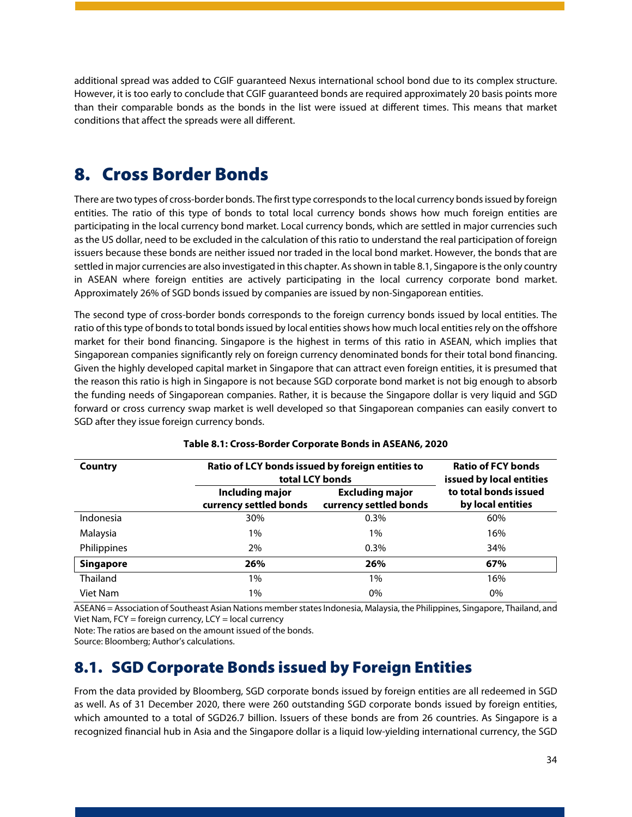additional spread was added to CGIF guaranteed Nexus international school bond due to its complex structure. However, it is too early to conclude that CGIF guaranteed bonds are required approximately 20 basis points more than their comparable bonds as the bonds in the list were issued at different times. This means that market conditions that affect the spreads were all different.

## <span id="page-34-0"></span>8. Cross Border Bonds

There are two types of cross-border bonds. The first type corresponds to the local currency bonds issued by foreign entities. The ratio of this type of bonds to total local currency bonds shows how much foreign entities are participating in the local currency bond market. Local currency bonds, which are settled in major currencies such as the US dollar, need to be excluded in the calculation of this ratio to understand the real participation of foreign issuers because these bonds are neither issued nor traded in the local bond market. However, the bonds that are settled in major currencies are also investigated in this chapter. As shown in table 8.1, Singapore is the only country in ASEAN where foreign entities are actively participating in the local currency corporate bond market. Approximately 26% of SGD bonds issued by companies are issued by non-Singaporean entities.

The second type of cross-border bonds corresponds to the foreign currency bonds issued by local entities. The ratio of this type of bonds to total bonds issued by local entities shows how much local entities rely on the offshore market for their bond financing. Singapore is the highest in terms of this ratio in ASEAN, which implies that Singaporean companies significantly rely on foreign currency denominated bonds for their total bond financing. Given the highly developed capital market in Singapore that can attract even foreign entities, it is presumed that the reason this ratio is high in Singapore is not because SGD corporate bond market is not big enough to absorb the funding needs of Singaporean companies. Rather, it is because the Singapore dollar is very liquid and SGD forward or cross currency swap market is well developed so that Singaporean companies can easily convert to SGD after they issue foreign currency bonds.

<span id="page-34-2"></span>

| Country          | Ratio of LCY bonds issued by foreign entities to<br>total LCY bonds | <b>Ratio of FCY bonds</b><br>issued by local entities |                                            |
|------------------|---------------------------------------------------------------------|-------------------------------------------------------|--------------------------------------------|
|                  | <b>Including major</b><br>currency settled bonds                    | <b>Excluding major</b><br>currency settled bonds      | to total bonds issued<br>by local entities |
| Indonesia        | 30%                                                                 | $0.3\%$                                               | 60%                                        |
| Malaysia         | $1\%$                                                               | $1\%$                                                 | 16%                                        |
| Philippines      | 2%                                                                  | $0.3\%$                                               | 34%                                        |
| <b>Singapore</b> | 26%                                                                 | 26%                                                   | 67%                                        |
| <b>Thailand</b>  | 1%                                                                  | $1\%$                                                 | 16%                                        |
| Viet Nam         | $1\%$                                                               | $0\%$                                                 | 0%                                         |

#### **Table 8.1: Cross-Border Corporate Bonds in ASEAN6, 2020**

ASEAN6 = Association of Southeast Asian Nations member states Indonesia, Malaysia, the Philippines, Singapore, Thailand, and Viet Nam,  $FCY = foreign currency$ ,  $LCY = local currency$ 

Note: The ratios are based on the amount issued of the bonds.

Source: Bloomberg; Author's calculations.

### <span id="page-34-1"></span>8.1. SGD Corporate Bonds issued by Foreign Entities

From the data provided by Bloomberg, SGD corporate bonds issued by foreign entities are all redeemed in SGD as well. As of 31 December 2020, there were 260 outstanding SGD corporate bonds issued by foreign entities, which amounted to a total of SGD26.7 billion. Issuers of these bonds are from 26 countries. As Singapore is a recognized financial hub in Asia and the Singapore dollar is a liquid low-yielding international currency, the SGD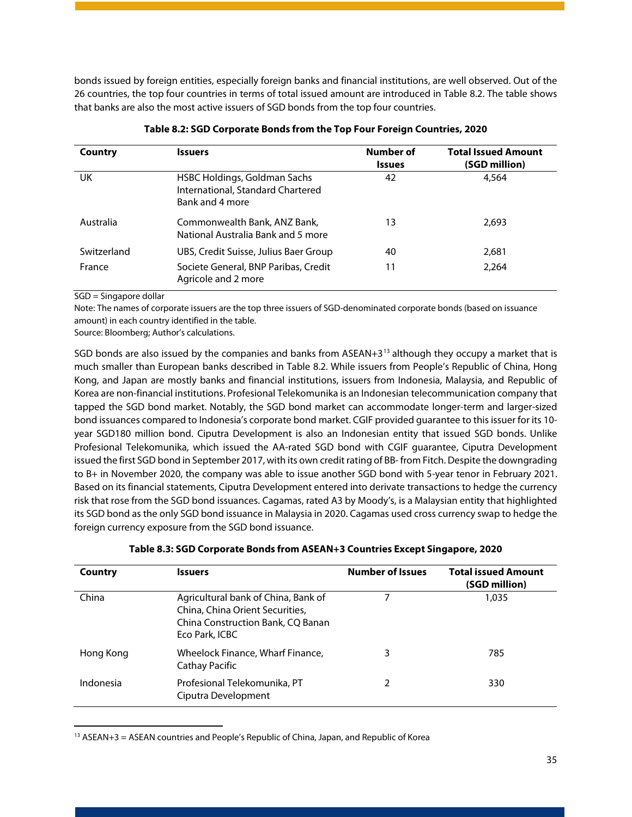bonds issued by foreign entities, especially foreign banks and financial institutions, are well observed. Out of the 26 countries, the top four countries in terms of total issued amount are introduced in Table 8.2. The table shows that banks are also the most active issuers of SGD bonds from the top four countries.

<span id="page-35-0"></span>

| Country     | <b>Issuers</b>                                                                       | <b>Number of</b><br><b>Issues</b> | <b>Total Issued Amount</b><br>(SGD million) |
|-------------|--------------------------------------------------------------------------------------|-----------------------------------|---------------------------------------------|
| UK          | HSBC Holdings, Goldman Sachs<br>International, Standard Chartered<br>Bank and 4 more | 42                                | 4,564                                       |
| Australia   | Commonwealth Bank, ANZ Bank,<br>National Australia Bank and 5 more                   | 13                                | 2,693                                       |
| Switzerland | UBS, Credit Suisse, Julius Baer Group                                                | 40                                | 2,681                                       |
| France      | Societe General, BNP Paribas, Credit<br>Agricole and 2 more                          | 11                                | 2.264                                       |

#### **Table 8.2: SGD Corporate Bonds from the Top Four Foreign Countries, 2020**

SGD = Singapore dollar

Note: The names of corporate issuers are the top three issuers of SGD-denominated corporate bonds (based on issuance amount) in each country identified in the table.

Source: Bloomberg; Author's calculations.

SGD bonds are also issued by the companies and banks from ASEAN+3 $<sup>13</sup>$  $<sup>13</sup>$  $<sup>13</sup>$  although they occupy a market that is</sup> much smaller than European banks described in Table 8.2. While issuers from People's Republic of China, Hong Kong, and Japan are mostly banks and financial institutions, issuers from Indonesia, Malaysia, and Republic of Korea are non-financial institutions. Profesional Telekomunika is an Indonesian telecommunication company that tapped the SGD bond market. Notably, the SGD bond market can accommodate longer-term and larger-sized bond issuances compared to Indonesia's corporate bond market. CGIF provided guarantee to this issuer for its 10 year SGD180 million bond. Ciputra Development is also an Indonesian entity that issued SGD bonds. Unlike Profesional Telekomunika, which issued the AA-rated SGD bond with CGIF guarantee, Ciputra Development issued the first SGD bond in September 2017, with its own credit rating of BB- from Fitch. Despite the downgrading to B+ in November 2020, the company was able to issue another SGD bond with 5-year tenor in February 2021. Based on its financial statements, Ciputra Development entered into derivate transactions to hedge the currency risk that rose from the SGD bond issuances. Cagamas, rated A3 by Moody's, is a Malaysian entity that highlighted its SGD bond as the only SGD bond issuance in Malaysia in 2020. Cagamas used cross currency swap to hedge the foreign currency exposure from the SGD bond issuance.

<span id="page-35-1"></span>

| Country   | Issuers                                                                                                                       | <b>Number of Issues</b> | <b>Total issued Amount</b><br>(SGD million) |
|-----------|-------------------------------------------------------------------------------------------------------------------------------|-------------------------|---------------------------------------------|
| China     | Agricultural bank of China, Bank of<br>China, China Orient Securities,<br>China Construction Bank, CQ Banan<br>Eco Park, ICBC |                         | 1,035                                       |
| Hong Kong | Wheelock Finance, Wharf Finance,<br><b>Cathay Pacific</b>                                                                     | 3                       | 785                                         |
| Indonesia | Profesional Telekomunika, PT<br>Ciputra Development                                                                           | 2                       | 330                                         |

#### **Table 8.3: SGD Corporate Bonds from ASEAN+3 Countries Except Singapore, 2020**

<span id="page-35-2"></span> $13$  ASEAN+3 = ASEAN countries and People's Republic of China, Japan, and Republic of Korea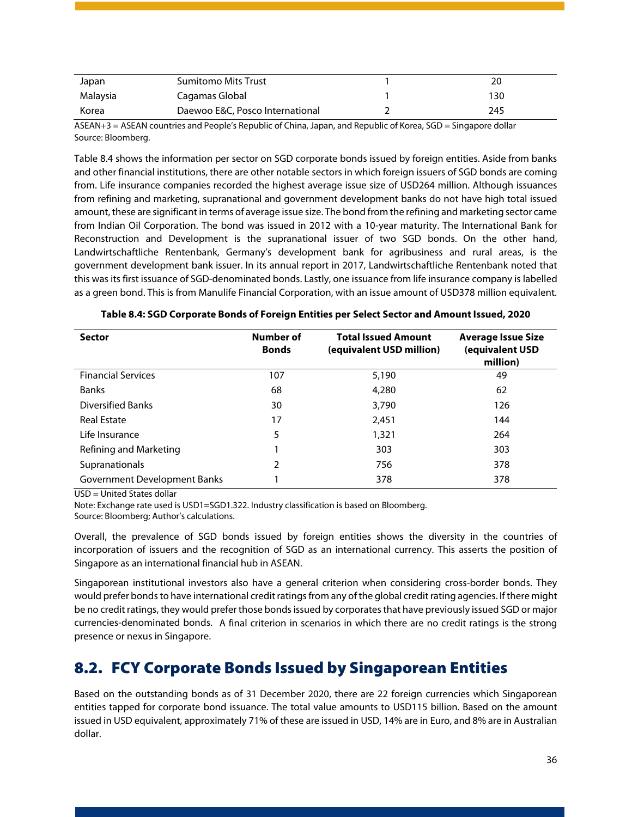| Japan    | <b>Sumitomo Mits Trust</b>      | 20  |
|----------|---------------------------------|-----|
| Malaysia | Cagamas Global                  | 130 |
| Korea    | Daewoo E&C, Posco International | 245 |

ASEAN+3 = ASEAN countries and People's Republic of China, Japan, and Republic of Korea, SGD = Singapore dollar Source: Bloomberg.

Table 8.4 shows the information per sector on SGD corporate bonds issued by foreign entities. Aside from banks and other financial institutions, there are other notable sectors in which foreign issuers of SGD bonds are coming from. Life insurance companies recorded the highest average issue size of USD264 million. Although issuances from refining and marketing, supranational and government development banks do not have high total issued amount, these are significant in terms of average issue size. The bond from the refining and marketing sector came from Indian Oil Corporation. The bond was issued in 2012 with a 10-year maturity. The International Bank for Reconstruction and Development is the supranational issuer of two SGD bonds. On the other hand, Landwirtschaftliche Rentenbank, Germany's development bank for agribusiness and rural areas, is the government development bank issuer. In its annual report in 2017, Landwirtschaftliche Rentenbank noted that this was its first issuance of SGD-denominated bonds. Lastly, one issuance from life insurance company is labelled as a green bond. This is from Manulife Financial Corporation, with an issue amount of USD378 million equivalent.

<span id="page-36-1"></span>

| <b>Sector</b>                | Number of<br><b>Bonds</b> | <b>Total Issued Amount</b><br>(equivalent USD million) | <b>Average Issue Size</b><br>(equivalent USD<br>million) |
|------------------------------|---------------------------|--------------------------------------------------------|----------------------------------------------------------|
| <b>Financial Services</b>    | 107                       | 5,190                                                  | 49                                                       |
| <b>Banks</b>                 | 68                        | 4,280                                                  | 62                                                       |
| Diversified Banks            | 30                        | 3,790                                                  | 126                                                      |
| <b>Real Estate</b>           | 17                        | 2,451                                                  | 144                                                      |
| Life Insurance               | 5                         | 1,321                                                  | 264                                                      |
| Refining and Marketing       |                           | 303                                                    | 303                                                      |
| Supranationals               | 2                         | 756                                                    | 378                                                      |
| Government Development Banks |                           | 378                                                    | 378                                                      |

USD = United States dollar

Note: Exchange rate used is USD1=SGD1.322. Industry classification is based on Bloomberg.

Source: Bloomberg; Author's calculations.

Overall, the prevalence of SGD bonds issued by foreign entities shows the diversity in the countries of incorporation of issuers and the recognition of SGD as an international currency. This asserts the position of Singapore as an international financial hub in ASEAN.

Singaporean institutional investors also have a general criterion when considering cross-border bonds. They would prefer bonds to have international credit ratings from any of the global credit rating agencies. If there might be no credit ratings, they would prefer those bonds issued by corporates that have previously issued SGD or major currencies-denominated bonds. A final criterion in scenarios in which there are no credit ratings is the strong presence or nexus in Singapore.

### <span id="page-36-0"></span>8.2. FCY Corporate Bonds Issued by Singaporean Entities

Based on the outstanding bonds as of 31 December 2020, there are 22 foreign currencies which Singaporean entities tapped for corporate bond issuance. The total value amounts to USD115 billion. Based on the amount issued in USD equivalent, approximately 71% of these are issued in USD, 14% are in Euro, and 8% are in Australian dollar.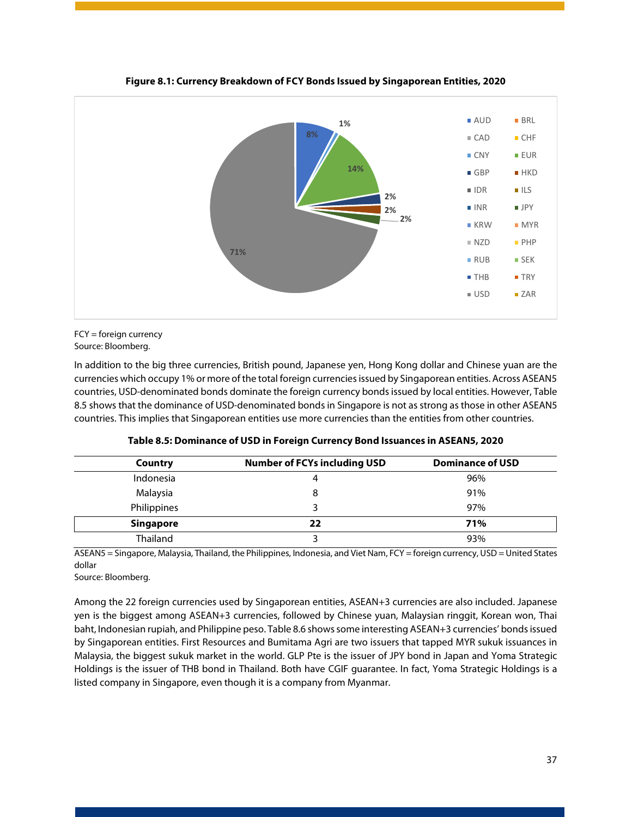<span id="page-37-1"></span>

**Figure 8.1: Currency Breakdown of FCY Bonds Issued by Singaporean Entities, 2020**

FCY = foreign currency Source: Bloomberg.

In addition to the big three currencies, British pound, Japanese yen, Hong Kong dollar and Chinese yuan are the currencies which occupy 1% or more of the total foreign currencies issued by Singaporean entities. Across ASEAN5 countries, USD-denominated bonds dominate the foreign currency bonds issued by local entities. However, Table 8.5 shows that the dominance of USD-denominated bonds in Singapore is not as strong as those in other ASEAN5 countries. This implies that Singaporean entities use more currencies than the entities from other countries.

<span id="page-37-0"></span>

| Country          | <b>Number of FCYs including USD</b> | <b>Dominance of USD</b> |
|------------------|-------------------------------------|-------------------------|
| Indonesia        |                                     | 96%                     |
| Malaysia         |                                     | 91%                     |
| Philippines      |                                     | 97%                     |
| <b>Singapore</b> | 22                                  | 71%                     |
| Thailand         |                                     | 93%                     |

**Table 8.5: Dominance of USD in Foreign Currency Bond Issuances in ASEAN5, 2020**

ASEAN5 = Singapore, Malaysia, Thailand, the Philippines, Indonesia, and Viet Nam, FCY = foreign currency, USD = United States dollar

Source: Bloomberg.

Among the 22 foreign currencies used by Singaporean entities, ASEAN+3 currencies are also included. Japanese yen is the biggest among ASEAN+3 currencies, followed by Chinese yuan, Malaysian ringgit, Korean won, Thai baht, Indonesian rupiah, and Philippine peso. Table 8.6 shows some interesting ASEAN+3 currencies' bonds issued by Singaporean entities. First Resources and Bumitama Agri are two issuers that tapped MYR sukuk issuances in Malaysia, the biggest sukuk market in the world. GLP Pte is the issuer of JPY bond in Japan and Yoma Strategic Holdings is the issuer of THB bond in Thailand. Both have CGIF guarantee. In fact, Yoma Strategic Holdings is a listed company in Singapore, even though it is a company from Myanmar.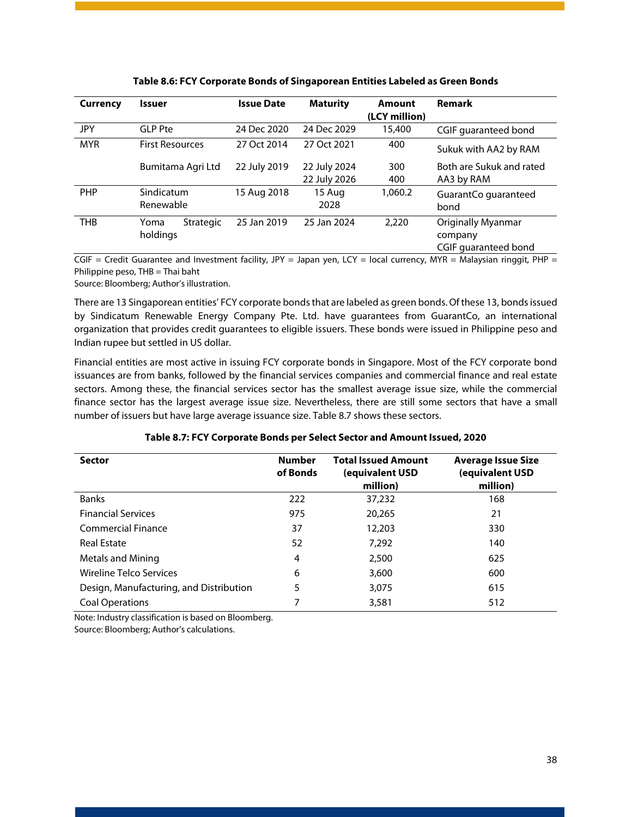<span id="page-38-0"></span>

| Currency   | <b>Issuer</b>           |                   | <b>Issue Date</b> | <b>Maturity</b>              | Amount<br>(LCY million) | <b>Remark</b>                                                |
|------------|-------------------------|-------------------|-------------------|------------------------------|-------------------------|--------------------------------------------------------------|
| JPY        | <b>GLP Pte</b>          |                   | 24 Dec 2020       | 24 Dec 2029                  | 15,400                  | CGIF quaranteed bond                                         |
| <b>MYR</b> | <b>First Resources</b>  |                   | 27 Oct 2014       | 27 Oct 2021                  | 400                     | Sukuk with AA2 by RAM                                        |
|            |                         | Bumitama Agri Ltd | 22 July 2019      | 22 July 2024<br>22 July 2026 | 300<br>400              | Both are Sukuk and rated<br>AA3 by RAM                       |
| <b>PHP</b> | Sindicatum<br>Renewable |                   | 15 Aug 2018       | 15 Aug<br>2028               | 1,060.2                 | GuarantCo guaranteed<br>bond                                 |
| <b>THB</b> | Yoma<br>holdings        | Strategic         | 25 Jan 2019       | 25 Jan 2024                  | 2,220                   | <b>Originally Myanmar</b><br>company<br>CGIF quaranteed bond |

**Table 8.6: FCY Corporate Bonds of Singaporean Entities Labeled as Green Bonds**

CGIF = Credit Guarantee and Investment facility, JPY = Japan yen, LCY = local currency, MYR = Malaysian ringgit, PHP = Philippine peso, THB = Thai baht

Source: Bloomberg; Author's illustration.

There are 13 Singaporean entities' FCY corporate bonds that are labeled as green bonds. Of these 13, bonds issued by Sindicatum Renewable Energy Company Pte. Ltd. have guarantees from GuarantCo, an international organization that provides credit guarantees to eligible issuers. These bonds were issued in Philippine peso and Indian rupee but settled in US dollar.

Financial entities are most active in issuing FCY corporate bonds in Singapore. Most of the FCY corporate bond issuances are from banks, followed by the financial services companies and commercial finance and real estate sectors. Among these, the financial services sector has the smallest average issue size, while the commercial finance sector has the largest average issue size. Nevertheless, there are still some sectors that have a small number of issuers but have large average issuance size. Table 8.7 shows these sectors.

<span id="page-38-1"></span>

| <b>Sector</b>                           | <b>Number</b><br>of Bonds | <b>Total Issued Amount</b><br>(equivalent USD<br>million) | <b>Average Issue Size</b><br>(equivalent USD<br>million) |
|-----------------------------------------|---------------------------|-----------------------------------------------------------|----------------------------------------------------------|
| <b>Banks</b>                            | 222                       | 37,232                                                    | 168                                                      |
| <b>Financial Services</b>               | 975                       | 20,265                                                    | 21                                                       |
| <b>Commercial Finance</b>               | 37                        | 12,203                                                    | 330                                                      |
| <b>Real Estate</b>                      | 52                        | 7.292                                                     | 140                                                      |
| Metals and Mining                       | 4                         | 2,500                                                     | 625                                                      |
| Wireline Telco Services                 | 6                         | 3,600                                                     | 600                                                      |
| Design, Manufacturing, and Distribution | 5                         | 3.075                                                     | 615                                                      |
| <b>Coal Operations</b>                  | 7                         | 3,581                                                     | 512                                                      |

#### **Table 8.7: FCY Corporate Bonds per Select Sector and Amount Issued, 2020**

Note: Industry classification is based on Bloomberg.

Source: Bloomberg; Author's calculations.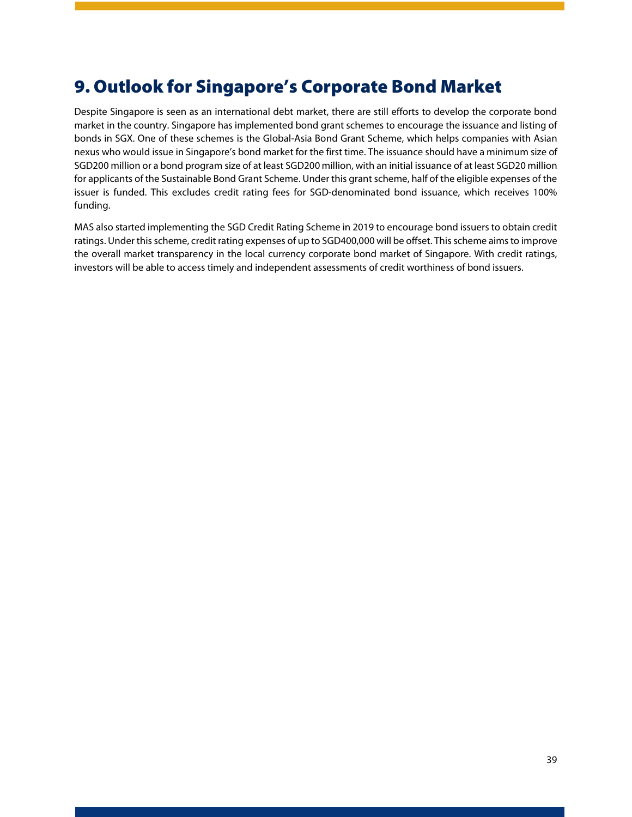# <span id="page-39-0"></span>9. Outlook for Singapore's Corporate Bond Market

Despite Singapore is seen as an international debt market, there are still efforts to develop the corporate bond market in the country. Singapore has implemented bond grant schemes to encourage the issuance and listing of bonds in SGX. One of these schemes is the Global-Asia Bond Grant Scheme, which helps companies with Asian nexus who would issue in Singapore's bond market for the first time. The issuance should have a minimum size of SGD200 million or a bond program size of at least SGD200 million, with an initial issuance of at least SGD20 million for applicants of the Sustainable Bond Grant Scheme. Under this grant scheme, half of the eligible expenses of the issuer is funded. This excludes credit rating fees for SGD-denominated bond issuance, which receives 100% funding.

MAS also started implementing the SGD Credit Rating Scheme in 2019 to encourage bond issuers to obtain credit ratings. Under this scheme, credit rating expenses of up to SGD400,000 will be offset. This scheme aims to improve the overall market transparency in the local currency corporate bond market of Singapore. With credit ratings, investors will be able to access timely and independent assessments of credit worthiness of bond issuers.